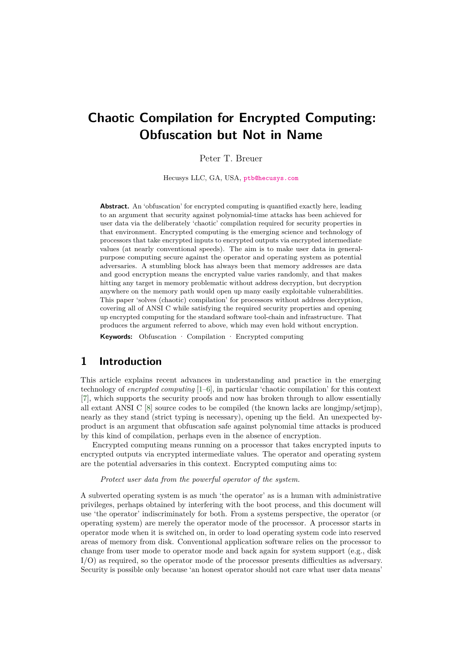# **Chaotic Compilation for Encrypted Computing: Obfuscation but Not in Name**

### Peter T. Breuer

Hecusys LLC, GA, USA, [ptb@hecusys.com](mailto:ptb@hecusys.com)

**Abstract.** An 'obfuscation' for encrypted computing is quantified exactly here, leading to an argument that security against polynomial-time attacks has been achieved for user data via the deliberately 'chaotic' compilation required for security properties in that environment. Encrypted computing is the emerging science and technology of processors that take encrypted inputs to encrypted outputs via encrypted intermediate values (at nearly conventional speeds). The aim is to make user data in generalpurpose computing secure against the operator and operating system as potential adversaries. A stumbling block has always been that memory addresses are data and good encryption means the encrypted value varies randomly, and that makes hitting any target in memory problematic without address decryption, but decryption anywhere on the memory path would open up many easily exploitable vulnerabilities. This paper 'solves (chaotic) compilation' for processors without address decryption, covering all of ANSI C while satisfying the required security properties and opening up encrypted computing for the standard software tool-chain and infrastructure. That produces the argument referred to above, which may even hold without encryption.

**Keywords:** Obfuscation · Compilation · Encrypted computing

# <span id="page-0-0"></span>**1 Introduction**

This article explains recent advances in understanding and practice in the emerging technology of *encrypted computing* [\[1](#page-25-0)[–6\]](#page-25-1), in particular 'chaotic compilation' for this context [\[7\]](#page-25-2), which supports the security proofs and now has broken through to allow essentially all extant ANSI C  $[8]$  source codes to be compiled (the known lacks are long $imp/\text{setimp}$ ), nearly as they stand (strict typing is necessary), opening up the field. An unexpected byproduct is an argument that obfuscation safe against polynomial time attacks is produced by this kind of compilation, perhaps even in the absence of encryption.

Encrypted computing means running on a processor that takes encrypted inputs to encrypted outputs via encrypted intermediate values. The operator and operating system are the potential adversaries in this context. Encrypted computing aims to:

### *Protect user data from the powerful operator of the system.*

A subverted operating system is as much 'the operator' as is a human with administrative privileges, perhaps obtained by interfering with the boot process, and this document will use 'the operator' indiscriminately for both. From a systems perspective, the operator (or operating system) are merely the operator mode of the processor. A processor starts in operator mode when it is switched on, in order to load operating system code into reserved areas of memory from disk. Conventional application software relies on the processor to change from user mode to operator mode and back again for system support (e.g., disk I/O) as required, so the operator mode of the processor presents difficulties as adversary. Security is possible only because 'an honest operator should not care what user data means'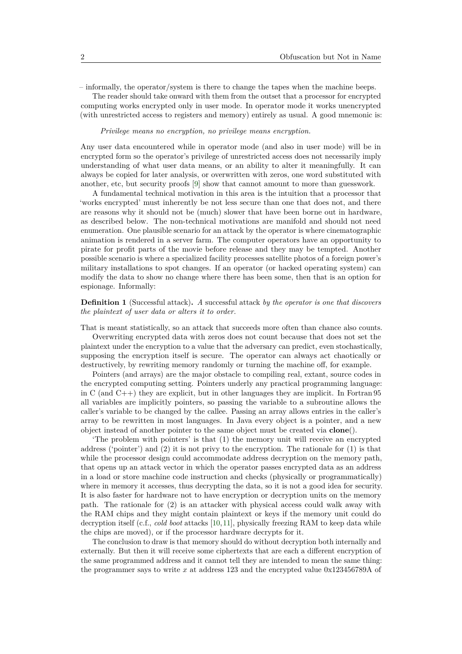– informally, the operator/system is there to change the tapes when the machine beeps.

The reader should take onward with them from the outset that a processor for encrypted computing works encrypted only in user mode. In operator mode it works unencrypted (with unrestricted access to registers and memory) entirely as usual. A good mnemonic is:

### *Privilege means no encryption, no privilege means encryption.*

Any user data encountered while in operator mode (and also in user mode) will be in encrypted form so the operator's privilege of unrestricted access does not necessarily imply understanding of what user data means, or an ability to alter it meaningfully. It can always be copied for later analysis, or overwritten with zeros, one word substituted with another, etc, but security proofs [\[9\]](#page-25-4) show that cannot amount to more than guesswork.

A fundamental technical motivation in this area is the intuition that a processor that 'works encrypted' must inherently be not less secure than one that does not, and there are reasons why it should not be (much) slower that have been borne out in hardware, as described below. The non-technical motivations are manifold and should not need enumeration. One plausible scenario for an attack by the operator is where cinematographic animation is rendered in a server farm. The computer operators have an opportunity to pirate for profit parts of the movie before release and they may be tempted. Another possible scenario is where a specialized facility processes satellite photos of a foreign power's military installations to spot changes. If an operator (or hacked operating system) can modify the data to show no change where there has been some, then that is an option for espionage. Informally:

### **Definition 1** (Successful attack)**.** *A* successful attack *by the operator is one that discovers the plaintext of user data or alters it to order.*

That is meant statistically, so an attack that succeeds more often than chance also counts.

Overwriting encrypted data with zeros does not count because that does not set the plaintext under the encryption to a value that the adversary can predict, even stochastically, supposing the encryption itself is secure. The operator can always act chaotically or destructively, by rewriting memory randomly or turning the machine off, for example.

Pointers (and arrays) are the major obstacle to compiling real, extant, source codes in the encrypted computing setting. Pointers underly any practical programming language: in C (and C++) they are explicit, but in other languages they are implicit. In Fortran 95 all variables are implicitly pointers, so passing the variable to a subroutine allows the caller's variable to be changed by the callee. Passing an array allows entries in the caller's array to be rewritten in most languages. In Java every object is a pointer, and a new object instead of another pointer to the same object must be created via **clone**().

'The problem with pointers' is that (1) the memory unit will receive an encrypted address ('pointer') and  $(2)$  it is not privy to the encryption. The rationale for  $(1)$  is that while the processor design could accommodate address decryption on the memory path, that opens up an attack vector in which the operator passes encrypted data as an address in a load or store machine code instruction and checks (physically or programmatically) where in memory it accesses, thus decrypting the data, so it is not a good idea for security. It is also faster for hardware not to have encryption or decryption units on the memory path. The rationale for (2) is an attacker with physical access could walk away with the RAM chips and they might contain plaintext or keys if the memory unit could do decryption itself (c.f., *cold boot* attacks [\[10,](#page-25-5)[11\]](#page-25-6), physically freezing RAM to keep data while the chips are moved), or if the processor hardware decrypts for it.

The conclusion to draw is that memory should do without decryption both internally and externally. But then it will receive some ciphertexts that are each a different encryption of the same programmed address and it cannot tell they are intended to mean the same thing: the programmer says to write *x* at address 123 and the encrypted value 0x123456789A of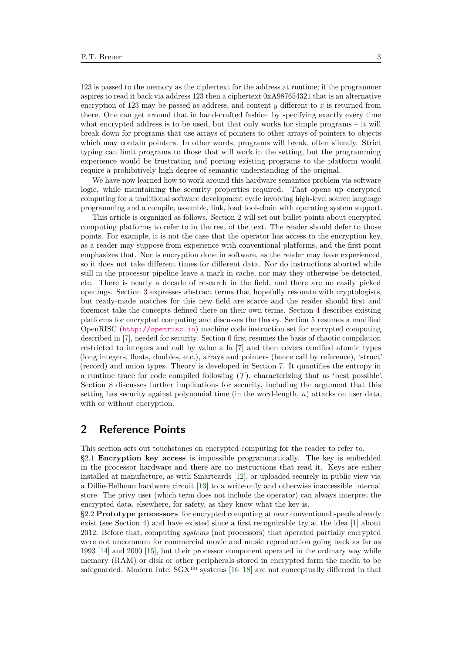123 is passed to the memory as the ciphertext for the address at runtime; if the programmer aspires to read it back via address 123 then a ciphertext 0xA987654321 that is an alternative encryption of 123 may be passed as address, and content *y* different to *x* is returned from there. One can get around that in hand-crafted fashion by specifying exactly every time what encrypted address is to be used, but that only works for simple programs – it will break down for programs that use arrays of pointers to other arrays of pointers to objects which may contain pointers. In other words, programs will break, often silently. Strict typing can limit programs to those that will work in the setting, but the programming experience would be frustrating and porting existing programs to the platform would require a prohibitively high degree of semantic understanding of the original.

We have now learned how to work around this hardware semantics problem via software logic, while maintaining the security properties required. That opens up encrypted computing for a traditional software development cycle involving high-level source language programming and a compile, assemble, link, load tool-chain with operating system support.

This article is organized as follows. Section [2](#page-2-0) will set out bullet points about encrypted computing platforms to refer to in the rest of the text. The reader should defer to those points. For example, it is not the case that the operator has access to the encryption key, as a reader may suppose from experience with conventional platforms, and the first point emphasizes that. Nor is encryption done in software, as the reader may have experienced, so it does not take different times for different data. Nor do instructions aborted while still in the processor pipeline leave a mark in cache, nor may they otherwise be detected, etc. There is nearly a decade of research in the field, and there are no easily picked openings. Section [3](#page-4-0) expresses abstract terms that hopefully resonate with cryptologists, but ready-made matches for this new field are scarce and the reader should first and foremost take the concepts defined there on their own terms. Section [4](#page-7-0) describes existing platforms for encrypted computing and discusses the theory. Section [5](#page-11-0) resumes a modified OpenRISC (<http://openrisc.io>) machine code instruction set for encrypted computing described in [\[7\]](#page-25-2), needed for security. Section [6](#page-14-0) first resumes the basis of chaotic compilation restricted to integers and call by value a la [\[7\]](#page-25-2) and then covers ramified atomic types (long integers, floats, doubles, etc.), arrays and pointers (hence call by reference), 'struct' (record) and union types. Theory is developed in Section [7.](#page-21-0) It quantifies the entropy in a runtime trace for code compiled following  $(\mathcal{T})$  $(\mathcal{T})$  $(\mathcal{T})$ , characterizing that as 'best possible'. Section [8](#page-22-0) discusses further implications for security, including the argument that this setting has security against polynomial time (in the word-length, *n*) attacks on user data, with or without encryption.

### <span id="page-2-0"></span>**2 Reference Points**

This section sets out touchstones on encrypted computing for the reader to refer to.

§2.1 **Encryption key access** is impossible programmatically. The key is embedded in the processor hardware and there are no instructions that read it. Keys are either installed at manufacture, as with Smartcards [\[12\]](#page-25-7), or uploaded securely in public view via a Diffie-Hellman hardware circuit [\[13\]](#page-25-8) to a write-only and otherwise inaccessible internal store. The privy user (which term does not include the operator) can always interpret the encrypted data, elsewhere, for safety, as they know what the key is.

§2.2 **Prototype processors** for encrypted computing at near conventional speeds already exist (see Section [4\)](#page-7-0) and have existed since a first recognizable try at the idea [\[1\]](#page-25-0) about 2012. Before that, computing *systems* (not processors) that operated partially encrypted were not uncommon for commercial movie and music reproduction going back as far as 1993 [\[14\]](#page-25-9) and 2000 [\[15\]](#page-25-10), but their processor component operated in the ordinary way while memory (RAM) or disk or other peripherals stored in encrypted form the media to be safeguarded. Modern Intel  $SGX^{TM}$  systems [\[16–](#page-25-11)[18\]](#page-25-12) are not conceptually different in that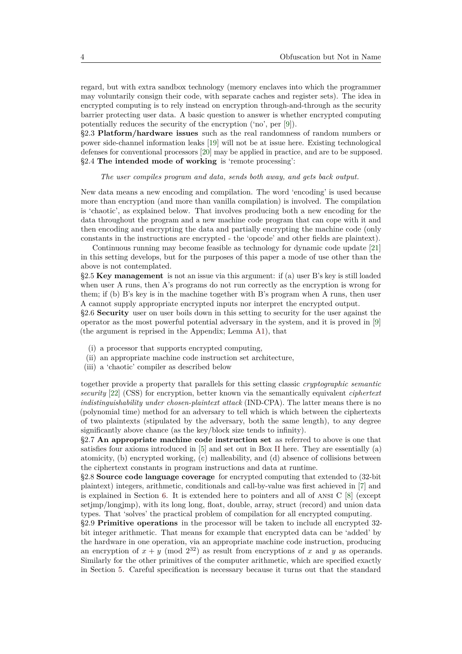regard, but with extra sandbox technology (memory enclaves into which the programmer may voluntarily consign their code, with separate caches and register sets). The idea in encrypted computing is to rely instead on encryption through-and-through as the security barrier protecting user data. A basic question to answer is whether encrypted computing potentially reduces the security of the encryption ('no', per [\[9\]](#page-25-4)).

§2.3 **Platform/hardware issues** such as the real randomness of random numbers or power side-channel information leaks [\[19\]](#page-25-13) will not be at issue here. Existing technological defenses for conventional processors [\[20\]](#page-25-14) may be applied in practice, and are to be supposed. §2.4 **The intended mode of working** is 'remote processing':

#### *The user compiles program and data, sends both away, and gets back output.*

New data means a new encoding and compilation. The word 'encoding' is used because more than encryption (and more than vanilla compilation) is involved. The compilation is 'chaotic', as explained below. That involves producing both a new encoding for the data throughout the program and a new machine code program that can cope with it and then encoding and encrypting the data and partially encrypting the machine code (only constants in the instructions are encrypted - the 'opcode' and other fields are plaintext).

Continuous running may become feasible as technology for dynamic code update [\[21\]](#page-26-0) in this setting develops, but for the purposes of this paper a mode of use other than the above is not contemplated.

§2.5 **Key management** is not an issue via this argument: if (a) user B's key is still loaded when user A runs, then A's programs do not run correctly as the encryption is wrong for them; if (b) B's key is in the machine together with B's program when A runs, then user A cannot supply appropriate encrypted inputs nor interpret the encrypted output.

§2.6 **Security** user on user boils down in this setting to security for the user against the operator as the most powerful potential adversary in the system, and it is proved in [\[9\]](#page-25-4) (the argument is reprised in the Appendix; Lemma [A1\)](#page-28-0), that

- (i) a processor that supports encrypted computing,
- (ii) an appropriate machine code instruction set architecture,
- (iii) a 'chaotic' compiler as described below

together provide a property that parallels for this setting classic *cryptographic semantic security* [\[22\]](#page-26-1) (CSS) for encryption, better known via the semantically equivalent *ciphertext indistinguishability under chosen-plaintext attack* (IND-CPA). The latter means there is no (polynomial time) method for an adversary to tell which is which between the ciphertexts of two plaintexts (stipulated by the adversary, both the same length), to any degree significantly above chance (as the key/block size tends to infinity).

§2.7 **An appropriate machine code instruction set** as referred to above is one that satisfies four axioms introduced in [\[5\]](#page-25-15) and set out in Box [II](#page-7-0) here. They are essentially (a) atomicity, (b) encrypted working, (c) malleability, and (d) absence of collisions between the ciphertext constants in program instructions and data at runtime.

§2.8 **Source code language coverage** for encrypted computing that extended to (32-bit plaintext) integers, arithmetic, conditionals and call-by-value was first achieved in [\[7\]](#page-25-2) and is explained in Section [6.](#page-14-0) It is extended here to pointers and all of ansi C [\[8\]](#page-25-3) (except setjmp/longjmp), with its long long, float, double, array, struct (record) and union data types. That 'solves' the practical problem of compilation for all encrypted computing.

§2.9 **Primitive operations** in the processor will be taken to include all encrypted 32 bit integer arithmetic. That means for example that encrypted data can be 'added' by the hardware in one operation, via an appropriate machine code instruction, producing an encryption of  $x + y \pmod{2^{32}}$  as result from encryptions of x and y as operands. Similarly for the other primitives of the computer arithmetic, which are specified exactly in Section [5.](#page-11-0) Careful specification is necessary because it turns out that the standard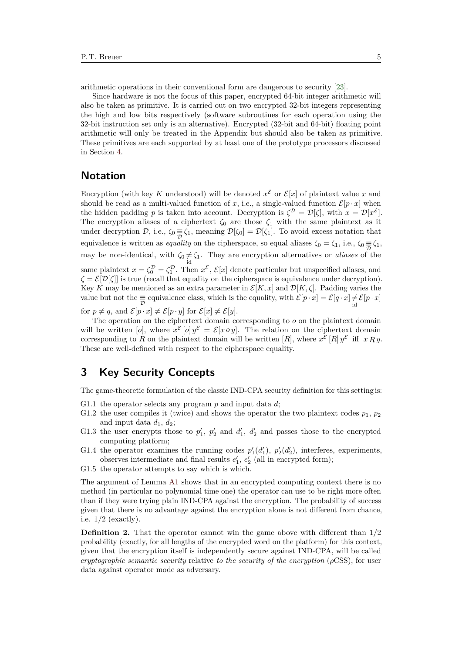arithmetic operations in their conventional form are dangerous to security [\[23\]](#page-26-2).

Since hardware is not the focus of this paper, encrypted 64-bit integer arithmetic will also be taken as primitive. It is carried out on two encrypted 32-bit integers representing the high and low bits respectively (software subroutines for each operation using the 32-bit instruction set only is an alternative). Encrypted (32-bit and 64-bit) floating point arithmetic will only be treated in the Appendix but should also be taken as primitive. These primitives are each supported by at least one of the prototype processors discussed in Section [4.](#page-7-0)

### <span id="page-4-1"></span>**Notation**

Encryption (with key K understood) will be denoted  $x^{\mathcal{E}}$  or  $\mathcal{E}[x]$  of plaintext value x and should be read as a multi-valued function of *x*, i.e., a single-valued function  $\mathcal{E}[p \cdot x]$  when the hidden padding *p* is taken into account. Decryption is  $\zeta^{\mathcal{D}} = \mathcal{D}[\zeta]$ , with  $x = \mathcal{D}[x^{\mathcal{E}}]$ . The encryption aliases of a ciphertext  $\zeta_0$  are those  $\zeta_1$  with the same plaintext as it under decryption  $D$ , i.e.,  $\zeta_0 \equiv \zeta_1$ , meaning  $D[\zeta_0] = D[\zeta_1]$ . To avoid excess notation that equivalence is written as *equality* on the cipherspace, so equal aliases  $\zeta_0 = \zeta_1$ , i.e.,  $\zeta_0 \equiv \zeta_1$ , may be non-identical, with  $\zeta_0 \neq \zeta_1$ . They are encryption alternatives or *aliases* of the same plaintext  $x = \zeta_0^{\mathcal{D}} = \zeta_1^{\mathcal{D}}$ . Then  $x^{\mathcal{E}}, \mathcal{E}[x]$  denote particular but unspecified aliases, and  $\zeta = \mathcal{E}[\mathcal{D}[\zeta]]$  is true (recall that equality on the cipherspace is equivalence under decryption). Key *K* may be mentioned as an extra parameter in  $\mathcal{E}[K, x]$  and  $\mathcal{D}[K, \zeta]$ . Padding varies the value but not the  $\equiv$  equivalence class, which is the equality, with  $\mathcal{E}[p \cdot x] = \mathcal{E}[q \cdot x] \neq \mathcal{E}[p \cdot x]$ 

for  $p \neq q$ , and  $\mathcal{E}[p \cdot x] \neq \mathcal{E}[p \cdot y]$  for  $\mathcal{E}[x] \neq \mathcal{E}[y]$ .

The operation on the ciphertext domain corresponding to *o* on the plaintext domain will be written [*o*], where  $x^{\mathcal{E}}$  [*o*]  $y^{\mathcal{E}} = \mathcal{E}[x \circ y]$ . The relation on the ciphertext domain corresponding to *R* on the plaintext domain will be written [*R*], where  $x^{\mathcal{E}}[R] y^{\mathcal{E}}$  iff  $x R y$ . These are well-defined with respect to the cipherspace equality.

# <span id="page-4-0"></span>**3 Key Security Concepts**

The game-theoretic formulation of the classic IND-CPA security definition for this setting is:

- G1.1 the operator selects any program *p* and input data *d*;
- G1.2 the user compiles it (twice) and shows the operator the two plaintext codes  $p_1, p_2$ and input data  $d_1$ ,  $d_2$ ;
- G1.3 the user encrypts those to  $p'_1$ ,  $p'_2$  and  $d'_1$ ,  $d'_2$  and passes those to the encrypted computing platform;
- G1.4 the operator examines the running codes  $p'_1(d'_1)$ ,  $p'_2(d'_2)$ , interferes, experiments, observes intermediate and final results  $e'_1, e'_2$  (all in encrypted form);
- G1.5 the operator attempts to say which is which.

The argument of Lemma [A1](#page-28-0) shows that in an encrypted computing context there is no method (in particular no polynomial time one) the operator can use to be right more often than if they were trying plain IND-CPA against the encryption. The probability of success given that there is no advantage against the encryption alone is not different from chance, i.e.  $1/2$  (exactly).

**Definition 2.** That the operator cannot win the game above with different than  $1/2$ probability (exactly, for all lengths of the encrypted word on the platform) for this context, given that the encryption itself is independently secure against IND-CPA, will be called *cryptographic semantic security* relative *to the security of the encryption* (*ρ*CSS), for user data against operator mode as adversary.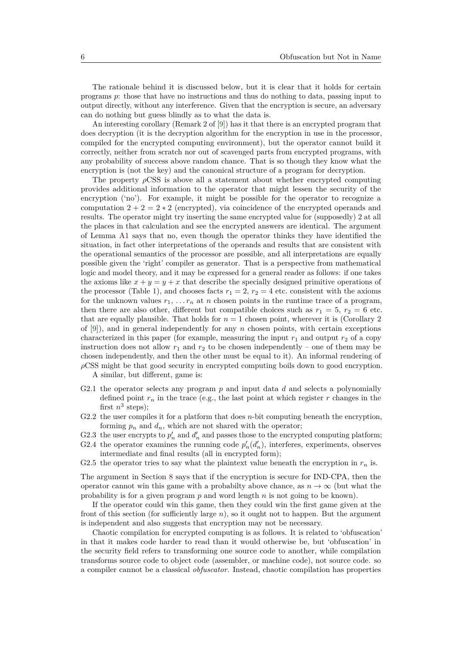The rationale behind it is discussed below, but it is clear that it holds for certain programs *p*: those that have no instructions and thus do nothing to data, passing input to output directly, without any interference. Given that the encryption is secure, an adversary can do nothing but guess blindly as to what the data is.

An interesting corollary (Remark 2 of [\[9\]](#page-25-4)) has it that there is an encrypted program that does decryption (it is the decryption algorithm for the encryption in use in the processor, compiled for the encrypted computing environment), but the operator cannot build it correctly, neither from scratch nor out of scavenged parts from encrypted programs, with any probability of success above random chance. That is so though they know what the encryption is (not the key) and the canonical structure of a program for decryption.

The property  $\rho$ CSS is above all a statement about whether encrypted computing provides additional information to the operator that might lessen the security of the encryption ('no'). For example, it might be possible for the operator to recognize a computation  $2 + 2 = 2 * 2$  (encrypted), via coincidence of the encrypted operands and results. The operator might try inserting the same encrypted value for (supposedly) 2 at all the places in that calculation and see the encrypted answers are identical. The argument of Lemma [A1](#page-28-0) says that no, even though the operator thinks they have identified the situation, in fact other interpretations of the operands and results that are consistent with the operational semantics of the processor are possible, and all interpretations are equally possible given the 'right' compiler as generator. That is a perspective from mathematical logic and model theory, and it may be expressed for a general reader as follows: if one takes the axioms like  $x + y = y + x$  that describe the specially designed primitive operations of the processor (Table [1\)](#page-12-0), and chooses facts  $r_1 = 2$ ,  $r_2 = 4$  etc. consistent with the axioms for the unknown values  $r_1, \ldots r_n$  at *n* chosen points in the runtime trace of a program, then there are also other, different but compatible choices such as  $r_1 = 5$ ,  $r_2 = 6$  etc. that are equally plausible. That holds for  $n = 1$  chosen point, wherever it is (Corollary 2) of [\[9\]](#page-25-4)), and in general independently for any *n* chosen points, with certain exceptions characterized in this paper (for example, measuring the input  $r_1$  and output  $r_2$  of a copy instruction does not allow  $r_1$  and  $r_2$  to be chosen independently – one of them may be chosen independently, and then the other must be equal to it). An informal rendering of *ρ*CSS might be that good security in encrypted computing boils down to good encryption.

A similar, but different, game is:

- G2.1 the operator selects any program *p* and input data *d* and selects a polynomially defined point  $r_n$  in the trace (e.g., the last point at which register  $r$  changes in the first  $n^3$  steps);
- G2.2 the user compiles it for a platform that does *n*-bit computing beneath the encryption, forming  $p_n$  and  $d_n$ , which are not shared with the operator;
- G2.3 the user encrypts to  $p'_n$  and  $d'_n$  and passes those to the encrypted computing platform;
- G2.4 the operator examines the running code  $p'_n(d'_n)$ , interferes, experiments, observes intermediate and final results (all in encrypted form);
- G2.5 the operator tries to say what the plaintext value beneath the encryption in  $r_n$  is.

The argument in Section [8](#page-22-0) says that if the encryption is secure for IND-CPA, then the operator cannot win this game with a probabilty above chance, as  $n \to \infty$  (but what the probability is for a given program *p* and word length *n* is not going to be known).

If the operator could win this game, then they could win the first game given at the front of this section (for sufficiently large *n*), so it ought not to happen. But the argument is independent and also suggests that encryption may not be necessary.

Chaotic compilation for encrypted computing is as follows. It is related to 'obfuscation' in that it makes code harder to read than it would otherwise be, but 'obfuscation' in the security field refers to transforming one source code to another, while compilation transforms source code to object code (assembler, or machine code), not source code. so a compiler cannot be a classical *obfuscator*. Instead, chaotic compilation has properties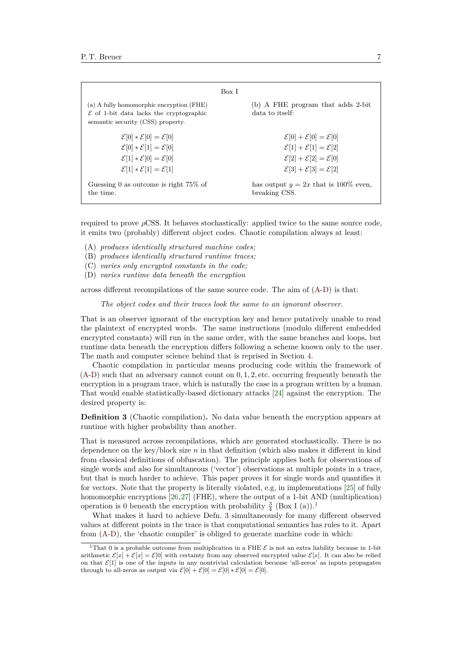|                                                                                                                                     | Box I                                                |
|-------------------------------------------------------------------------------------------------------------------------------------|------------------------------------------------------|
| (a) A fully homomorphic encryption (FHE)<br>$\mathcal E$ of 1-bit data lacks the cryptographic<br>semantic security (CSS) property. | (b) A FHE program that adds 2-bit<br>data to itself: |
| $\mathcal{E}[0] * \mathcal{E}[0] = \mathcal{E}[0]$                                                                                  | $\mathcal{E}[0] + \mathcal{E}[0] = \mathcal{E}[0]$   |
| $\mathcal{E}[0] * \mathcal{E}[1] = \mathcal{E}[0]$                                                                                  | $\mathcal{E}[1] + \mathcal{E}[1] = \mathcal{E}[2]$   |
| $\mathcal{E}[1] * \mathcal{E}[0] = \mathcal{E}[0]$                                                                                  | $\mathcal{E}[2] + \mathcal{E}[2] = \mathcal{E}[0]$   |
| $\mathcal{E}[1] * \mathcal{E}[1] = \mathcal{E}[1]$                                                                                  | $\mathcal{E}[3] + \mathcal{E}[3] = \mathcal{E}[2]$   |
| Guessing 0 as outcome is right $75\%$ of                                                                                            | has output $y = 2x$ that is 100% even,               |
| the time.                                                                                                                           | breaking CSS.                                        |

required to prove  $\rho$ CSS. It behaves stochastically: applied twice to the same source code, it emits two (probably) different object codes. Chaotic compilation always at least:

- <span id="page-6-0"></span>(A) *produces identically structured machine codes;*
- <span id="page-6-4"></span>(B) *produces identically structured runtime traces;*
- (C) *varies only encrypted constants in the code;*
- <span id="page-6-1"></span>(D) *varies runtime data beneath the encryption*

across different recompilations of the same source code. The aim of [\(A-](#page-6-0)[D\)](#page-6-1) is that:

*The object codes and their traces look the same to an ignorant observer.*

That is an observer ignorant of the encryption key and hence putatively unable to read the plaintext of encrypted words. The same instructions (modulo different embedded encrypted constants) will run in the same order, with the same branches and loops, but runtime data beneath the encryption differs following a scheme known only to the user. The math and computer science behind that is reprised in Section [4.](#page-7-0)

Chaotic compilation in particular means producing code within the framework of  $(A-D)$  $(A-D)$  such that an adversary cannot count on  $0, 1, 2$ , etc. occurring frequently beneath the encryption in a program trace, which is naturally the case in a program written by a human. That would enable statistically-based dictionary attacks [\[24\]](#page-26-3) against the encryption. The desired property is:

<span id="page-6-3"></span>**Definition 3** (Chaotic compilation)**.** No data value beneath the encryption appears at runtime with higher probability than another.

That is measured across recompilations, which are generated stochastically. There is no dependence on the key/block size *n* in that definition (which also makes it different in kind from classical definitions of obfuscation). The principle applies both for observations of single words and also for simultaneous ('vector') observations at multiple points in a trace, but that is much harder to achieve. This paper proves it for single words and quantifies it for vectors. Note that the property is literally violated, e.g, in implementations [\[25\]](#page-26-4) of fully homomorphic encryptions [\[26,](#page-26-5)[27\]](#page-26-6) (FHE), where the output of a 1-bit AND (multiplication) operation is 0 beneath the encryption with probability  $\frac{3}{4}$  (Box [I](#page-4-0) (a)).<sup>[1](#page-6-2)</sup>

What makes it hard to achieve Defn. [3](#page-6-3) simultaneously for many different observed values at different points in the trace is that computational semantics has rules to it. Apart from [\(A](#page-6-0)[-D\)](#page-6-1), the 'chaotic compiler' is obliged to generate machine code in which:

<span id="page-6-2"></span><sup>&</sup>lt;sup>1</sup>That 0 is a probable outcome from multiplication in a FHE  $\mathcal E$  is not an extra liability because in 1-bit arithmetic  $\mathcal{E}[x] + \mathcal{E}[x] = \mathcal{E}[0]$  with certainty from any observed encrypted value  $\mathcal{E}[x]$ . It can also be relied on that  $\mathcal{E}[1]$  is one of the inputs in any nontrivial calculation because 'all-zeros' as inputs propagates through to all-zeros as output via  $\mathcal{E}[0] + \mathcal{E}[0] = \mathcal{E}[0] * \mathcal{E}[0] = \mathcal{E}[0]$ .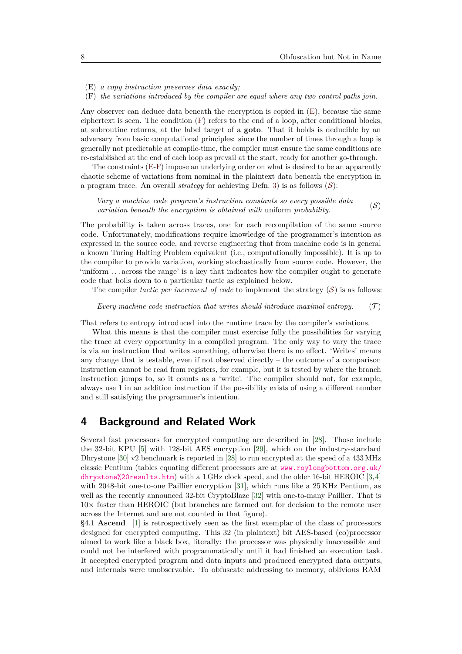- <span id="page-7-2"></span>(E) *a copy instruction preserves data exactly;*
- <span id="page-7-3"></span>(F) *the variations introduced by the compiler are equal where any two control paths join.*

Any observer can deduce data beneath the encryption is copied in [\(E\)](#page-7-2), because the same ciphertext is seen. The condition [\(F\)](#page-7-3) refers to the end of a loop, after conditional blocks, at subroutine returns, at the label target of a **goto**. That it holds is deducible by an adversary from basic computational principles: since the number of times through a loop is generally not predictable at compile-time, the compiler must ensure the same conditions are re-established at the end of each loop as prevail at the start, ready for another go-through.

The constraints [\(E-](#page-7-2)[F\)](#page-7-3) impose an underlying order on what is desired to be an apparently chaotic scheme of variations from nominal in the plaintext data beneath the encryption in a program trace. An overall *strategy* for achieving Defn. [3\)](#page-6-3) is as follows  $(S)$  $(S)$  $(S)$ :

<span id="page-7-4"></span>*Vary a machine code program's instruction constants so every possible data vary a mathing coat program s instruction constants so every possible data* (S) variation beneath the encryption is obtained with uniform probability.

The probability is taken across traces, one for each recompilation of the same source code. Unfortunately, modifications require knowledge of the programmer's intention as expressed in the source code, and reverse engineering that from machine code is in general a known Turing Halting Problem equivalent (i.e., computationally impossible). It is up to the compiler to provide variation, working stochastically from source code. However, the 'uniform . . . across the range' is a key that indicates how the compiler ought to generate code that boils down to a particular tactic as explained below.

The compiler *tactic per increment of code* to implement the strategy  $(S)$  $(S)$  $(S)$  is as follows:

#### <span id="page-7-1"></span>*Every machine code instruction that writes should introduce maximal entropy.*  $(\mathcal{T})$

That refers to entropy introduced into the runtime trace by the compiler's variations.

What this means is that the compiler must exercise fully the possibilities for varying the trace at every opportunity in a compiled program. The only way to vary the trace is via an instruction that writes something, otherwise there is no effect. 'Writes' means any change that is testable, even if not observed directly – the outcome of a comparison instruction cannot be read from registers, for example, but it is tested by where the branch instruction jumps to, so it counts as a 'write'. The compiler should not, for example, always use 1 in an addition instruction if the possibility exists of using a different number and still satisfying the programmer's intention.

### <span id="page-7-0"></span>**4 Background and Related Work**

Several fast processors for encrypted computing are described in [\[28\]](#page-26-7). Those include the 32-bit KPU [\[5\]](#page-25-15) with 128-bit AES encryption [\[29\]](#page-26-8), which on the industry-standard Dhrystone [\[30\]](#page-26-9) v2 benchmark is reported in [\[28\]](#page-26-7) to run encrypted at the speed of a 433 MHz classic Pentium (tables equating different processors are at [www.roylongbottom.org.uk/](www.roylongbottom.org.uk/dhrystone%20results.htm) [dhrystone%20results.htm](www.roylongbottom.org.uk/dhrystone%20results.htm)) with a 1 GHz clock speed, and the older 16-bit HEROIC [\[3,](#page-25-16)[4\]](#page-25-17) with 2048-bit one-to-one Paillier encryption [\[31\]](#page-26-10), which runs like a 25 KHz Pentium, as well as the recently announced 32-bit CryptoBlaze [\[32\]](#page-26-11) with one-to-many Paillier. That is  $10\times$  faster than HEROIC (but branches are farmed out for decision to the remote user across the Internet and are not counted in that figure).

§4.1 **Ascend** [\[1\]](#page-25-0) is retrospectively seen as the first exemplar of the class of processors designed for encrypted computing. This 32 (in plaintext) bit AES-based (co)processor aimed to work like a black box, literally: the processor was physically inaccessible and could not be interfered with programmatically until it had finished an execution task. It accepted encrypted program and data inputs and produced encrypted data outputs, and internals were unobservable. To obfuscate addressing to memory, oblivious RAM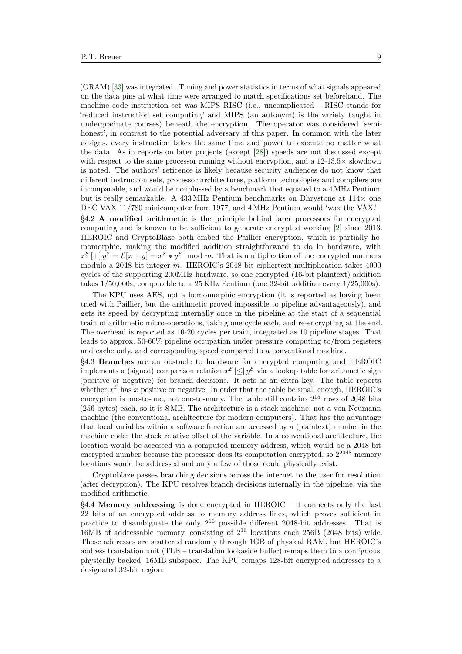(ORAM) [\[33\]](#page-26-12) was integrated. Timing and power statistics in terms of what signals appeared on the data pins at what time were arranged to match specifications set beforehand. The machine code instruction set was MIPS RISC (i.e., uncomplicated – RISC stands for 'reduced instruction set computing' and MIPS (an autonym) is the variety taught in undergraduate courses) beneath the encryption. The operator was considered 'semihonest', in contrast to the potential adversary of this paper. In common with the later designs, every instruction takes the same time and power to execute no matter what the data. As in reports on later projects (except [\[28\]](#page-26-7)) speeds are not discussed except with respect to the same processor running without encryption, and a  $12{\text -}13.5\times$  slowdown is noted. The authors' reticence is likely because security audiences do not know that different instruction sets, processor architectures, platform technologies and compilers are incomparable, and would be nonplussed by a benchmark that equated to a 4 MHz Pentium, but is really remarkable. A 433 MHz Pentium benchmarks on Dhrystone at  $114\times$  one DEC VAX 11/780 minicomputer from 1977, and 4 MHz Pentium would 'wax the VAX.'

§4.2 **A modified arithmetic** is the principle behind later processors for encrypted computing and is known to be sufficient to generate encrypted working [\[2\]](#page-25-18) since 2013. HEROIC and CryptoBlaze both embed the Paillier encryption, which is partially homomorphic, making the modified addition straightforward to do in hardware, with  $x^{\mathcal{E}}[+] y^{\mathcal{E}} = \mathcal{E}[x+y] = x^{\mathcal{E}} * y^{\mathcal{E}} \mod m$ . That is multiplication of the encrypted numbers modulo a 2048-bit integer *m*. HEROIC's 2048-bit ciphertext multiplication takes 4000 cycles of the supporting 200MHz hardware, so one encrypted (16-bit plaintext) addition takes 1/50,000s, comparable to a 25 KHz Pentium (one 32-bit addition every 1/25,000s).

The KPU uses AES, not a homomorphic encryption (it is reported as having been tried with Paillier, but the arithmetic proved impossible to pipeline advantageously), and gets its speed by decrypting internally once in the pipeline at the start of a sequential train of arithmetic micro-operations, taking one cycle each, and re-encrypting at the end. The overhead is reported as 10-20 cycles per train, integrated as 10 pipeline stages. That leads to approx. 50-60% pipeline occupation under pressure computing to/from registers and cache only, and corresponding speed compared to a conventional machine.

§4.3 **Branches** are an obstacle to hardware for encrypted computing and HEROIC implements a (signed) comparison relation  $x^{\mathcal{E}} \leq y^{\mathcal{E}}$  via a lookup table for arithmetic sign (positive or negative) for branch decisions. It acts as an extra key. The table reports whether  $x^{\mathcal{E}}$  has x positive or negative. In order that the table be small enough, HEROIC's encryption is one-to-one, not one-to-many. The table still contains  $2^{15}$  rows of 2048 bits (256 bytes) each, so it is 8 MB. The architecture is a stack machine, not a von Neumann machine (the conventional architecture for modern computers). That has the advantage that local variables within a software function are accessed by a (plaintext) number in the machine code: the stack relative offset of the variable. In a conventional architecture, the location would be accessed via a computed memory address, which would be a 2048-bit encrypted number because the processor does its computation encrypted, so  $2^{2048}$  memory locations would be addressed and only a few of those could physically exist.

Cryptoblaze passes branching decisions across the internet to the user for resolution (after decryption). The KPU resolves branch decisions internally in the pipeline, via the modified arithmetic.

§4.4 **Memory addressing** is done encrypted in HEROIC – it connects only the last 22 bits of an encrypted address to memory address lines, which proves sufficient in practice to disambiguate the only  $2^{16}$  possible different 2048-bit addresses. That is 16MB of addressable memory, consisting of  $2^{16}$  locations each 256B (2048 bits) wide. Those addresses are scattered randomly through 1GB of physical RAM, but HEROIC's address translation unit (TLB – translation lookaside buffer) remaps them to a contiguous, physically backed, 16MB subspace. The KPU remaps 128-bit encrypted addresses to a designated 32-bit region.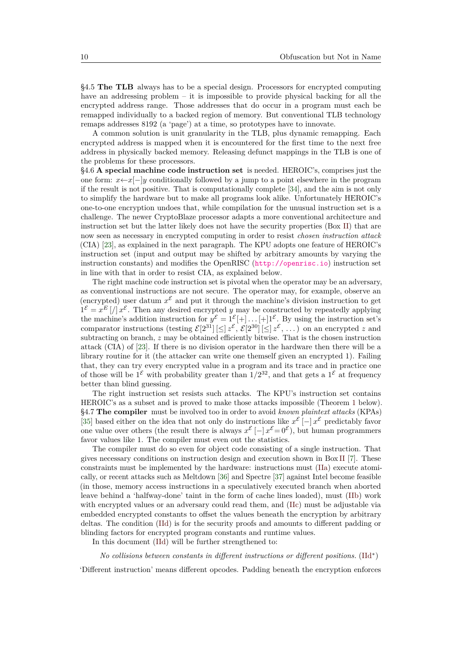§4.5 **The TLB** always has to be a special design. Processors for encrypted computing have an addressing problem – it is impossible to provide physical backing for all the encrypted address range. Those addresses that do occur in a program must each be remapped individually to a backed region of memory. But conventional TLB technology remaps addresses 8192 (a 'page') at a time, so prototypes have to innovate.

A common solution is unit granularity in the TLB, plus dynamic remapping. Each encrypted address is mapped when it is encountered for the first time to the next free address in physically backed memory. Releasing defunct mappings in the TLB is one of the problems for these processors.

§4.6 **A special machine code instruction set** is needed. HEROIC's, comprises just the one form: *x*←*x*[−]*y* conditionally followed by a jump to a point elsewhere in the program if the result is not positive. That is computationally complete [\[34\]](#page-26-13), and the aim is not only to simplify the hardware but to make all programs look alike. Unfortunately HEROIC's one-to-one encryption undoes that, while compilation for the unusual instruction set is a challenge. The newer CryptoBlaze processor adapts a more conventional architecture and instruction set but the latter likely does not have the security properties (Box [II\)](#page-7-0) that are now seen as necessary in encrypted computing in order to resist *chosen instruction attack* (CIA) [\[23\]](#page-26-2), as explained in the next paragraph. The KPU adopts one feature of HEROIC's instruction set (input and output may be shifted by arbitrary amounts by varying the instruction constants) and modifies the OpenRISC (<http://openrisc.io>) instruction set in line with that in order to resist CIA, as explained below.

The right machine code instruction set is pivotal when the operator may be an adversary, as conventional instructions are not secure. The operator may, for example, observe an (encrypted) user datum  $x^{\mathcal{E}}$  and put it through the machine's division instruction to get  $1^{\mathcal{E}} = x^E \left[ \frac{\partial}{\partial x} \mathcal{E} \right]$ . Then any desired encrypted *y* may be constructed by repeatedly applying the machine's addition instruction for  $y^{\mathcal{E}} = 1^{\mathcal{E}}[+] \dots [+]^{\mathcal{E}}$ . By using the instruction set's comparator instructions (testing  $\mathcal{E}[2^{31}] \leq z^{\mathcal{E}}, \mathcal{E}[2^{30}] \leq z^{\mathcal{E}}, \ldots$ ) on an encrypted *z* and subtracting on branch, *z* may be obtained efficiently bitwise. That is the chosen instruction attack (CIA) of [\[23\]](#page-26-2). If there is no division operator in the hardware then there will be a library routine for it (the attacker can write one themself given an encrypted 1). Failing that, they can try every encrypted value in a program and its trace and in practice one of those will be  $1^{\mathcal{E}}$  with probability greater than  $1/2^{32}$ , and that gets a  $1^{\mathcal{E}}$  at frequency better than blind guessing.

The right instruction set resists such attacks. The KPU's instruction set contains HEROIC's as a subset and is proved to make those attacks impossible (Theorem [1](#page-10-0) below). §4.7 **The compiler** must be involved too in order to avoid *known plaintext attacks* (KPAs) [\[35\]](#page-26-14) based either on the idea that not only do instructions like  $x^{\mathcal{E}}$  [-]  $x^{\mathcal{E}}$  predictably favor one value over others (the result there is always  $x^{\mathcal{E}}$  [-]  $x^{\mathcal{E}}=0^{\mathcal{E}}$ ), but human programmers favor values like 1. The compiler must even out the statistics.

The compiler must do so even for object code consisting of a single instruction. That gives necessary conditions on instruction design and execution shown in Box [II](#page-7-0) [\[7\]](#page-25-2). These constraints must be implemented by the hardware: instructions must [\(IIa\)](#page-10-1) execute atomically, or recent attacks such as Meltdown [\[36\]](#page-26-15) and Spectre [\[37\]](#page-26-16) against Intel become feasible (in those, memory access instructions in a speculatively executed branch when aborted leave behind a 'halfway-done' taint in the form of cache lines loaded), must [\(IIb\)](#page-10-2) work with encrypted values or an adversary could read them, and [\(IIc\)](#page-10-3) must be adjustable via embedded encrypted constants to offset the values beneath the encryption by arbitrary deltas. The condition [\(IId\)](#page-10-4) is for the security proofs and amounts to different padding or blinding factors for encrypted program constants and runtime values.

<span id="page-9-0"></span>In this document [\(IId\)](#page-10-4) will be further strengthened to:

*No collisions between constants in different instructions or different positions.* [\(IId](#page-10-4)<sup>∗</sup> )

'Different instruction' means different opcodes. Padding beneath the encryption enforces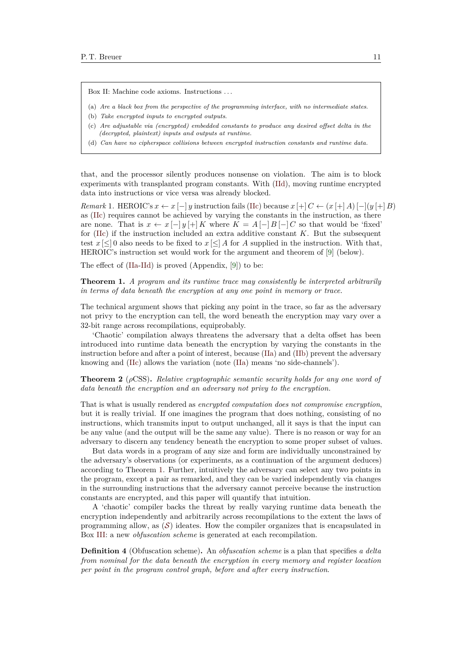Box II: Machine code axioms. Instructions . . .

- <span id="page-10-1"></span>(a) *Are a black box from the perspective of the programming interface, with no intermediate states*.
- <span id="page-10-2"></span>(b) *Take encrypted inputs to encrypted outputs*.
- <span id="page-10-3"></span>(c) *Are adjustable via (encrypted) embedded constants to produce any desired offset delta in the (decrypted, plaintext) inputs and outputs at runtime*.
- <span id="page-10-4"></span>(d) *Can have no cipherspace collisions between encrypted instruction constants and runtime data.*

that, and the processor silently produces nonsense on violation. The aim is to block experiments with transplanted program constants. With [\(IId\)](#page-10-4), moving runtime encrypted data into instructions or vice versa was already blocked.

<span id="page-10-5"></span>*Remark* 1. HEROIC's  $x \leftarrow x [-] y$  instruction fails [\(IIc\)](#page-10-3) because  $x [+] C \leftarrow (x [+] A) [-](y [+] B)$ as [\(IIc\)](#page-10-3) requires cannot be achieved by varying the constants in the instruction, as there are none. That is  $x \leftarrow x \begin{bmatrix} -|y|+|K \end{bmatrix}$  where  $K = A \begin{bmatrix} -|B|-|C \end{bmatrix}$  so that would be 'fixed' for [\(IIc\)](#page-10-3) if the instruction included an extra additive constant *K*. But the subsequent test  $x \leq 0$  also needs to be fixed to  $x \leq A$  for *A* supplied in the instruction. With that, HEROIC's instruction set would work for the argument and theorem of [\[9\]](#page-25-4) (below).

The effect of [\(IIa-](#page-10-1)[IId\)](#page-10-4) is proved (Appendix, [\[9\]](#page-25-4)) to be:

<span id="page-10-0"></span>**Theorem 1.** *A program and its runtime trace may consistently be interpreted arbitrarily in terms of data beneath the encryption at any one point in memory or trace.*

The technical argument shows that picking any point in the trace, so far as the adversary not privy to the encryption can tell, the word beneath the encryption may vary over a 32-bit range across recompilations, equiprobably.

'Chaotic' compilation always threatens the adversary that a delta offset has been introduced into runtime data beneath the encryption by varying the constants in the instruction before and after a point of interest, because [\(IIa\)](#page-10-1) and [\(IIb\)](#page-10-2) prevent the adversary knowing and [\(IIc\)](#page-10-3) allows the variation (note [\(IIa\)](#page-10-1) means 'no side-channels').

<span id="page-10-7"></span>**Theorem 2** (*ρ*CSS)**.** *Relative cryptographic semantic security holds for any one word of data beneath the encryption and an adversary not privy to the encryption.*

That is what is usually rendered as *encrypted computation does not compromise encryption*, but it is really trivial. If one imagines the program that does nothing, consisting of no instructions, which transmits input to output unchanged, all it says is that the input can be any value (and the output will be the same any value). There is no reason or way for an adversary to discern any tendency beneath the encryption to some proper subset of values.

But data words in a program of any size and form are individually unconstrained by the adversary's observations (or experiments, as a continuation of the argument deduces) according to Theorem [1.](#page-10-0) Further, intuitively the adversary can select any two points in the program, except a pair as remarked, and they can be varied independently via changes in the surrounding instructions that the adversary cannot perceive because the instruction constants are encrypted, and this paper will quantify that intuition.

A 'chaotic' compiler backs the threat by really varying runtime data beneath the encryption independently and arbitrarily across recompilations to the extent the laws of programming allow, as  $(S)$  $(S)$  $(S)$  ideates. How the compiler organizes that is encapsulated in Box [III:](#page-7-0) a new *obfuscation scheme* is generated at each recompilation.

<span id="page-10-6"></span>**Definition 4** (Obfuscation scheme)**.** An *obfuscation scheme* is a plan that specifies *a delta from nominal for the data beneath the encryption in every memory and register location per point in the program control graph, before and after every instruction*.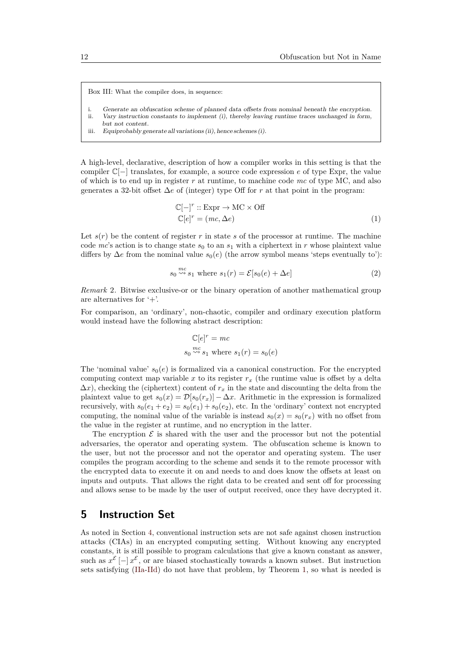Box III: What the compiler does, in sequence:

- i. Generate an obfuscation scheme of planned data offsets from nominal beneath the encryption.
- ii. Vary instruction constants to implement (i), thereby leaving runtime traces unchanged in form,
- but not content.
- iii. Equiprobably generate all variations (ii), hence schemes (i).

A high-level, declarative, description of how a compiler works in this setting is that the compiler C[−] translates, for example, a source code expression *e* of type Expr, the value of which is to end up in register *r* at runtime, to machine code *mc* of type MC, and also generates a 32-bit offset ∆*e* of (integer) type Off for *r* at that point in the program:

<span id="page-11-1"></span>
$$
\mathbb{C}[-]^{r} :: \text{Expr} \to \text{MC} \times \text{Off}
$$
  

$$
\mathbb{C}[e]^{r} = (mc, \Delta e)
$$
 (1)

Let  $s(r)$  be the content of register r in state s of the processor at runtime. The machine code  $mc$ 's action is to change state  $s_0$  to an  $s_1$  with a ciphertext in r whose plaintext value differs by  $\Delta e$  from the nominal value  $s_0(e)$  (the arrow symbol means 'steps eventually to'):

$$
s_0 \stackrel{mc}{\leadsto} s_1 \text{ where } s_1(r) = \mathcal{E}[s_0(e) + \Delta e] \tag{2}
$$

<span id="page-11-3"></span>*Remark* 2*.* Bitwise exclusive-or or the binary operation of another mathematical group are alternatives for '+'.

For comparison, an 'ordinary', non-chaotic, compiler and ordinary execution platform would instead have the following abstract description:

<span id="page-11-2"></span>
$$
\mathbb{C}[e]^r = mc
$$
  

$$
s_0 \stackrel{mc}{\leadsto} s_1 \text{ where } s_1(r) = s_0(e)
$$

The 'nominal value'  $s_0(e)$  is formalized via a canonical construction. For the encrypted computing context map variable *x* to its register  $r<sub>x</sub>$  (the runtime value is offset by a delta  $\Delta x$ , checking the (ciphertext) content of  $r_x$  in the state and discounting the delta from the plaintext value to get  $s_0(x) = \mathcal{D}[s_0(r_x)] - \Delta x$ . Arithmetic in the expression is formalized recursively, with  $s_0(e_1 + e_2) = s_0(e_1) + s_0(e_2)$ , etc. In the 'ordinary' context not encrypted computing, the nominal value of the variable is instead  $s_0(x) = s_0(r_x)$  with no offset from the value in the register at runtime, and no encryption in the latter.

The encryption  $\mathcal E$  is shared with the user and the processor but not the potential adversaries, the operator and operating system. The obfuscation scheme is known to the user, but not the processor and not the operator and operating system. The user compiles the program according to the scheme and sends it to the remote processor with the encrypted data to execute it on and needs to and does know the offsets at least on inputs and outputs. That allows the right data to be created and sent off for processing and allows sense to be made by the user of output received, once they have decrypted it.

### <span id="page-11-0"></span>**5 Instruction Set**

As noted in Section [4,](#page-7-0) conventional instruction sets are not safe against chosen instruction attacks (CIAs) in an encrypted computing setting. Without knowing any encrypted constants, it is still possible to program calculations that give a known constant as answer, such as  $x^{\mathcal{E}}$  [-]  $x^{\mathcal{E}}$ , or are biased stochastically towards a known subset. But instruction sets satisfying [\(IIa](#page-10-1)[-IId\)](#page-10-4) do not have that problem, by Theorem [1,](#page-10-0) so what is needed is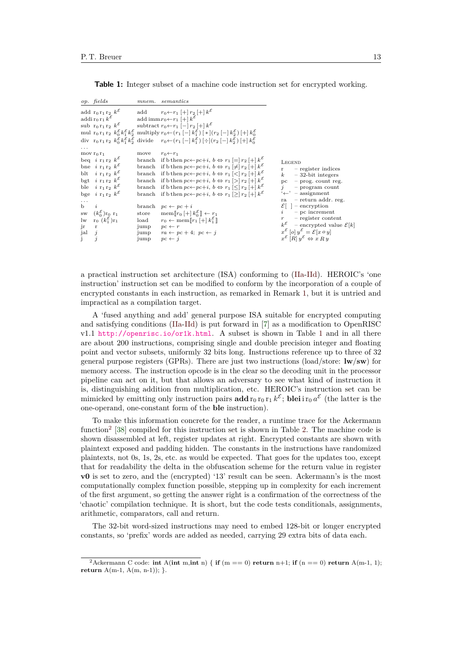<span id="page-12-0"></span>**Table 1:** Integer subset of a machine code instruction set for encrypted working.

|                                                                                                | op. fields                                                                                                       | $m n$ em.              | semantics                                                                                                                                                                                                                                                         |                                                                                                                                                                                    |
|------------------------------------------------------------------------------------------------|------------------------------------------------------------------------------------------------------------------|------------------------|-------------------------------------------------------------------------------------------------------------------------------------------------------------------------------------------------------------------------------------------------------------------|------------------------------------------------------------------------------------------------------------------------------------------------------------------------------------|
|                                                                                                |                                                                                                                  |                        | $\begin{array}{lll} \text{add}\;\; r_0\,r_1\,r_2\;\;k^{\mathcal{E}} & \text{add}\; &\; r_0 \leftarrow r_1\;[+] \,r_2\,[+] \,k^{\mathcal{E}} \\ \text{addi}\; r_0\,r_1\,k^{\mathcal{E}} & \text{add\;imm}\, r_0 \leftarrow r_1\,[+] \,k^{\mathcal{E}} \end{array}$ |                                                                                                                                                                                    |
|                                                                                                |                                                                                                                  |                        |                                                                                                                                                                                                                                                                   |                                                                                                                                                                                    |
|                                                                                                |                                                                                                                  |                        | sub r <sub>0</sub> r <sub>1</sub> r <sub>2</sub> $k^{\mathcal{E}}$ subtract r <sub>0</sub> $\leftarrow$ r <sub>1</sub> $[-]$ r <sub>2</sub> $[+]$ $k^{\mathcal{E}}$                                                                                               |                                                                                                                                                                                    |
|                                                                                                |                                                                                                                  |                        | mul $r_0 r_1 r_2 k_0^{\mathcal{E}} k_1^{\mathcal{E}} k_2^{\mathcal{E}}$ multiply $r_0 \leftarrow (r_1 \left[-\right] k_1^{\mathcal{E}}) \left[*\right] (r_2 \left[-\right] k_2^{\mathcal{E}}) \left[+\right] k_0^{\mathcal{E}}$                                   |                                                                                                                                                                                    |
|                                                                                                |                                                                                                                  |                        | div $r_0 r_1 r_2 k_0^{\mathcal{E}} k_1^{\mathcal{E}} k_2^{\mathcal{E}}$ divide $r_0 \leftarrow (r_1 \left[-\right] k_1^{\mathcal{E}}) \left[-\right] (r_2 \left[-\right] k_2^{\mathcal{E}}) \left[+\right] k_0^{\mathcal{E}}$                                     |                                                                                                                                                                                    |
|                                                                                                |                                                                                                                  |                        |                                                                                                                                                                                                                                                                   |                                                                                                                                                                                    |
|                                                                                                | mov $r_0 r_1$                                                                                                    | move                   | $r_0 \leftarrow r_1$                                                                                                                                                                                                                                              |                                                                                                                                                                                    |
|                                                                                                | beq $i \rceil_1 r_2 k^{\mathcal{E}}$                                                                             |                        | branch if b then $pc \leftarrow pc+i$ , $b \Leftrightarrow r_1 = r_2 + k^2$                                                                                                                                                                                       | LEGEND                                                                                                                                                                             |
|                                                                                                | bne $i \rvert_{1} \rvert_{2} k^{\varepsilon}$                                                                    |                        | branch if b then $pc \leftarrow pc+i$ , $b \Leftrightarrow r_1 \neq r_2 \neq k^{\mathcal{E}}$                                                                                                                                                                     | - register indices<br>r —                                                                                                                                                          |
|                                                                                                | blt i $r_1 r_2 k^{\varepsilon}$                                                                                  |                        | branch if b then $pc \leftarrow pc + i$ , $b \Leftrightarrow r_1 \leq r_2 \neq k^{\mathcal{E}}$                                                                                                                                                                   | $-32$ -bit integers<br>$\kappa$                                                                                                                                                    |
|                                                                                                | bgt $i \rvert_{1} \rvert_{2} k^{\mathcal{E}}$                                                                    |                        | branch if b then $pc \leftarrow pc + i$ , $b \Leftrightarrow r_1 \geq r_2 \neq k^{\varepsilon}$                                                                                                                                                                   | $pc - prog. count reg.$                                                                                                                                                            |
|                                                                                                | ble $i \rvert_{1} \rvert_{2} k^{\mathcal{E}}$                                                                    |                        | branch if b then $pc \leftarrow pc+i$ , $b \Leftrightarrow r_1 \leq r_2 \neq k^{\mathcal{E}}$                                                                                                                                                                     | $j$ – program count                                                                                                                                                                |
|                                                                                                | bge $i \rvert_{1} \rvert_{2} k^{\mathcal{E}}$                                                                    |                        | branch if b then $pc \leftarrow pc+i$ , $b \Leftrightarrow r_1 \geq r_2 \neq k^{\mathcal{E}}$                                                                                                                                                                     | $\leftarrow$ - assignment                                                                                                                                                          |
|                                                                                                |                                                                                                                  |                        |                                                                                                                                                                                                                                                                   | - return addr. reg.<br>ra                                                                                                                                                          |
| $\mathbf{b}$                                                                                   |                                                                                                                  |                        | branch $pc \leftarrow pc + i$                                                                                                                                                                                                                                     | $\mathcal{E}$   - encryption                                                                                                                                                       |
|                                                                                                | sw $(k_0^{\mathcal{E}})$ r <sub>0</sub> r <sub>1</sub><br>lw r <sub>0</sub> $(k_1^{\mathcal{E}})$ r <sub>1</sub> |                        | store mem $[r_0 + k_0^{\mathcal{E}}] \leftarrow r_1$                                                                                                                                                                                                              | $-$ pc increment<br>$\iota$                                                                                                                                                        |
|                                                                                                |                                                                                                                  |                        | load $r_0 \leftarrow \text{mem} [r_1 \mid + \mid k_1^{\mathcal{E}}]$                                                                                                                                                                                              | $-$ register content                                                                                                                                                               |
| jr                                                                                             | $\mathbf{r}$                                                                                                     | jump $pc \leftarrow r$ |                                                                                                                                                                                                                                                                   | $k^{\mathcal{E}}$ – encrypted value $\mathcal{E}[k]$                                                                                                                               |
| $\begin{matrix} \text{j} & \text{a} & \text{b} \\ \text{j} & \text{j} & \text{j} \end{matrix}$ |                                                                                                                  |                        | jump $ra \leftarrow pc + 4$ ; $pc \leftarrow j$                                                                                                                                                                                                                   | $\begin{array}{c}\nx^{\mathcal{E}}\left[o\right]y^{\mathcal{E}} = \mathcal{E}[x \circ y] \\ x^{\mathcal{E}}\left[R\right]y^{\mathcal{E}} \Leftrightarrow x \, R \, y\n\end{array}$ |
|                                                                                                |                                                                                                                  | jump                   | $pc \leftarrow j$                                                                                                                                                                                                                                                 |                                                                                                                                                                                    |

a practical instruction set architecture (ISA) conforming to [\(IIa-](#page-10-1)[IId\)](#page-10-4). HEROIC's 'one instruction' instruction set can be modified to conform by the incorporation of a couple of encrypted constants in each instruction, as remarked in Remark [1,](#page-10-5) but it is untried and impractical as a compilation target.

A 'fused anything and add' general purpose ISA suitable for encrypted computing and satisfying conditions [\(IIa-](#page-10-1)[IId\)](#page-10-4) is put forward in [\[7\]](#page-25-2) as a modification to OpenRISC v1.1 <http://openrisc.io/or1k.html>. A subset is shown in Table [1](#page-12-0) and in all there are about 200 instructions, comprising single and double precision integer and floating point and vector subsets, uniformly 32 bits long. Instructions reference up to three of 32 general purpose registers (GPRs). There are just two instructions (load/store: **lw**/**sw**) for memory access. The instruction opcode is in the clear so the decoding unit in the processor pipeline can act on it, but that allows an adversary to see what kind of instruction it is, distinguishing addition from multiplication, etc. HEROIC's instruction set can be mimicked by emitting only instruction pairs  $\text{add } r_0 r_0 r_1 k^{\mathcal{E}}$ ; **blei** i  $r_0 a^{\mathcal{E}}$  (the latter is the one-operand, one-constant form of the **ble** instruction).

To make this information concrete for the reader, a runtime trace for the Ackermann function<sup>[2](#page-12-1)</sup> [\[38\]](#page-26-17) compiled for this instruction set is shown in Table [2.](#page-13-0) The machine code is shown disassembled at left, register updates at right. Encrypted constants are shown with plaintext exposed and padding hidden. The constants in the instructions have randomized plaintexts, not 0s, 1s, 2s, etc. as would be expected. That goes for the updates too, except that for readability the delta in the obfuscation scheme for the return value in register **v0** is set to zero, and the (encrypted) '13' result can be seen. Ackermann's is the most computationally complex function possible, stepping up in complexity for each increment of the first argument, so getting the answer right is a confirmation of the correctness of the 'chaotic' compilation technique. It is short, but the code tests conditionals, assignments, arithmetic, comparators, call and return.

The 32-bit word-sized instructions may need to embed 128-bit or longer encrypted constants, so 'prefix' words are added as needed, carrying 29 extra bits of data each.

<span id="page-12-1"></span> $^{2}$ Ackermann C code: **int** A(**int** m,**int** n) { **if** (m == 0) **return** n+1; **if** (n == 0) **return** A(m-1, 1); **return** A(m-1, A(m, n-1)); }.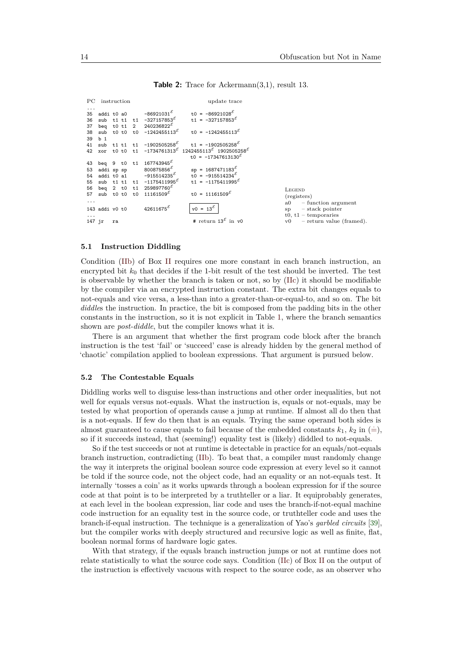```
PC instruction update trace
...
35 addi t0 a0 -86921031^{\mathcal{E}}<br>36 sub t1 t1 t1 -327157853<sup>E</sup>
                                                        t0 = -86921028<sup>8</sup>
36 sub t1 t1 t<br>37 beq t0 t1 2
                                                        t1 = -327157853^837 beq t0 t1 2 240236822^8<br>38 sub t0 t0 t0 -124245511
38 sub t0 t0 t0 -1242455113^{6}<br>39 h 1
                                                        t0 = -1242455113<sup>E</sup>
     \frac{b}{\text{sub}}41 sub t1 t1 t1 -1902505258^{\xi}<br>42 xor t0 t0 t1 -1734761313^{\xi}t1 = -1902505258^8xor t0 t0 t1 -1734761313^{E}1242455113^{\mathcal{E}} 1902505258^{\mathcal{E}}t0 = -17347613130^543 beq 9 t0 t1 167743945^5<br>53 addi sp sp 800875856^553 addi sp sp 800875856^8<br>54 addi t0 a1 -915514235
                                                        sp = 1687471183^E54 addi t0 a1 -915514235<sup>E</sup><br>55 sub t1 t1 t1 -1175411995t0 = -915514234<sup>E</sup>
55 sub t1 t1 t1 -1175411995<sup>8</sup><br>56 beg 2 t0 t1 259897760<sup>8</sup>
                                                        t1 = -1175411995<sup>E</sup>
56 beq 2 t0 t1 259897760<br>57 sub t0 t0 t0 11161509<sup>E</sup>
     sub t0 t0 t0 11161509<sup>E</sup>
                                                        t0 = 11161509<sup>E</sup>
...
143 addi v0 t0 42611675^{\mathcal{E}}v0 = 13^{\mathcal{E}}...
147 jr ra \qquad # return 13<sup>\mathcal E</sup> in v0
                                                                                                           LEGEND
                                                                                                           (\text{registers})<br>a0 - fi
                                                                                                                      function argument
                                                                                                           sp – stack pointer
                                                                                                           t0, t1 – temporaries
                                                                                                           v0 – return value (framed).
```

```
Table 2: Trace for Ackermann(3,1), result 13.
```
### **5.1 Instruction Diddling**

Condition [\(IIb\)](#page-10-2) of Box [II](#page-7-0) requires one more constant in each branch instruction, an encrypted bit  $k_0$  that decides if the 1-bit result of the test should be inverted. The test is observable by whether the branch is taken or not, so by [\(IIc\)](#page-10-3) it should be modifiable by the compiler via an encrypted instruction constant. The extra bit changes equals to not-equals and vice versa, a less-than into a greater-than-or-equal-to, and so on. The bit *diddle*s the instruction. In practice, the bit is composed from the padding bits in the other constants in the instruction, so it is not explicit in Table [1,](#page-12-0) where the branch semantics shown are *post-diddle*, but the compiler knows what it is.

There is an argument that whether the first program code block after the branch instruction is the test 'fail' or 'succeed' case is already hidden by the general method of 'chaotic' compilation applied to boolean expressions. That argument is pursued below.

#### **5.2 The Contestable Equals**

Diddling works well to disguise less-than instructions and other order inequalities, but not well for equals versus not-equals. What the instruction is, equals or not-equals, may be tested by what proportion of operands cause a jump at runtime. If almost all do then that is a not-equals. If few do then that is an equals. Trying the same operand both sides is almost guaranteed to cause equals to fail because of the embedded constants  $k_1$ ,  $k_2$  in ([=\)](#page-29-0), so if it succeeds instead, that (seeming!) equality test is (likely) diddled to not-equals.

So if the test succeeds or not at runtime is detectable in practice for an equals/not-equals branch instruction, contradicting [\(IIb\)](#page-10-2). To beat that, a compiler must randomly change the way it interprets the original boolean source code expression at every level so it cannot be told if the source code, not the object code, had an equality or an not-equals test. It internally 'tosses a coin' as it works upwards through a boolean expression for if the source code at that point is to be interpreted by a truthteller or a liar. It equiprobably generates, at each level in the boolean expression, liar code and uses the branch-if-not-equal machine code instruction for an equality test in the source code, or truthteller code and uses the branch-if-equal instruction. The technique is a generalization of Yao's *garbled circuits* [\[39\]](#page-26-18), but the compiler works with deeply structured and recursive logic as well as finite, flat, boolean normal forms of hardware logic gates.

With that strategy, if the equals branch instruction jumps or not at runtime does not relate statistically to what the source code says. Condition [\(IIc\)](#page-10-3) of Box [II](#page-7-0) on the output of the instruction is effectively vacuous with respect to the source code, as an observer who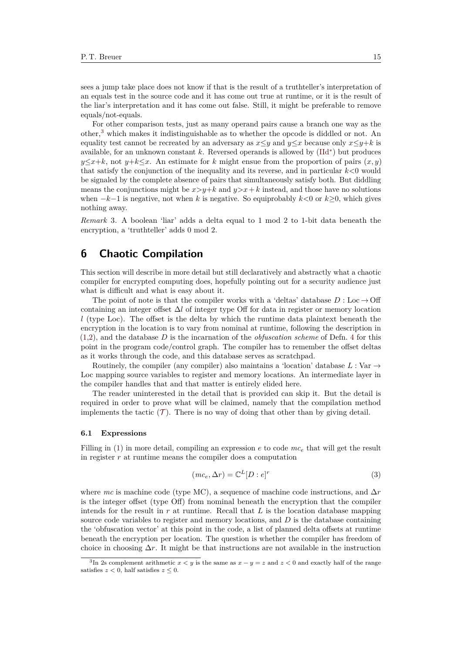sees a jump take place does not know if that is the result of a truthteller's interpretation of an equals test in the source code and it has come out true at runtime, or it is the result of the liar's interpretation and it has come out false. Still, it might be preferable to remove equals/not-equals.

For other comparison tests, just as many operand pairs cause a branch one way as the other,[3](#page-14-1) which makes it indistinguishable as to whether the opcode is diddled or not. An equality test cannot be recreated by an adversary as  $x \leq y$  and  $y \leq x$  because only  $x \leq y+k$  is available, for an unknown constant *k*. Reversed operands is allowed by [\(IId](#page-9-0)<sup>∗</sup> ) but produces  $y \leq x+k$ , not  $y+k \leq x$ . An estimate for *k* might ensue from the proportion of pairs  $(x, y)$ that satisfy the conjunction of the inequality and its reverse, and in particular *k<*0 would be signaled by the complete absence of pairs that simultaneously satisfy both. But diddling means the conjunctions might be  $x>y+k$  and  $y>x+k$  instead, and those have no solutions when  $-k-1$  is negative, not when k is negative. So equiprobably  $k < 0$  or  $k > 0$ , which gives nothing away.

*Remark* 3*.* A boolean 'liar' adds a delta equal to 1 mod 2 to 1-bit data beneath the encryption, a 'truthteller' adds 0 mod 2.

# <span id="page-14-0"></span>**6 Chaotic Compilation**

This section will describe in more detail but still declaratively and abstractly what a chaotic compiler for encrypted computing does, hopefully pointing out for a security audience just what is difficult and what is easy about it.

The point of note is that the compiler works with a 'deltas' database  $D : Loc \rightarrow \text{Off}$ containing an integer offset ∆*l* of integer type Off for data in register or memory location *l* (type Loc). The offset is the delta by which the runtime data plaintext beneath the encryption in the location is to vary from nominal at runtime, following the description in [\(1,](#page-11-1)[2\)](#page-11-2), and the database *D* is the incarnation of the *obfuscation scheme* of Defn. [4](#page-10-6) for this point in the program code/control graph. The compiler has to remember the offset deltas as it works through the code, and this database serves as scratchpad.

Routinely, the compiler (any compiler) also maintains a 'location' database  $L: \text{Var} \rightarrow$ Loc mapping source variables to register and memory locations. An intermediate layer in the compiler handles that and that matter is entirely elided here.

The reader uninterested in the detail that is provided can skip it. But the detail is required in order to prove what will be claimed, namely that the compilation method implements the tactic  $(\mathcal{T})$  $(\mathcal{T})$  $(\mathcal{T})$ . There is no way of doing that other than by giving detail.

### **6.1 Expressions**

Filling in [\(1\)](#page-11-1) in more detail, compiling an expression *e* to code *mc<sup>e</sup>* that will get the result in register *r* at runtime means the compiler does a computation

<span id="page-14-2"></span>
$$
(mc_e, \Delta r) = \mathbb{C}^L[D : e]^r \tag{3}
$$

where *mc* is machine code (type MC), a sequence of machine code instructions, and ∆*r* is the integer offset (type Off) from nominal beneath the encryption that the compiler intends for the result in  $r$  at runtime. Recall that  $L$  is the location database mapping source code variables to register and memory locations, and *D* is the database containing the 'obfuscation vector' at this point in the code, a list of planned delta offsets at runtime beneath the encryption per location. The question is whether the compiler has freedom of choice in choosing  $\Delta r$ . It might be that instructions are not available in the instruction

<span id="page-14-1"></span><sup>&</sup>lt;sup>3</sup>In 2s complement arithmetic  $x < y$  is the same as  $x - y = z$  and  $z < 0$  and exactly half of the range satisfies  $z < 0$ , half satisfies  $z \leq 0$ .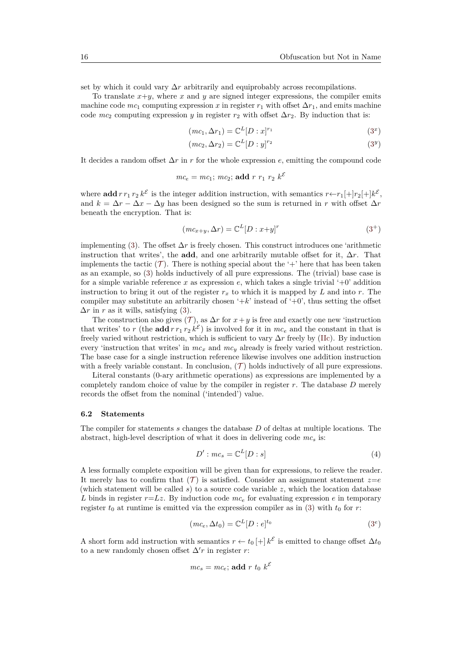set by which it could vary ∆*r* arbitrarily and equiprobably across recompilations.

To translate  $x+y$ , where  $x$  and  $y$  are signed integer expressions, the compiler emits machine code  $mc_1$  computing expression *x* in register  $r_1$  with offset  $\Delta r_1$ , and emits machine code  $mc_2$  computing expression *y* in register  $r_2$  with offset  $\Delta r_2$ . By induction that is:

$$
(mc_1, \Delta r_1) = \mathbb{C}^L[D:x]^{r_1}
$$
\n
$$
(3^x)
$$

$$
(mc_2, \Delta r_2) = \mathbb{C}^L[D: y]^{r_2}
$$
\n
$$
(3^y)
$$

It decides a random offset  $\Delta r$  in *r* for the whole expression *e*, emitting the compound code

$$
mc_e = mc_1; mc_2; \text{add } r r_1 r_2 k^{\mathcal{E}}
$$

where **add**  $r r_1 r_2 k^{\mathcal{E}}$  is the integer addition instruction, with semantics  $r \leftarrow r_1[+]r_2[+]k^{\mathcal{E}}$ , and  $k = \Delta r - \Delta x - \Delta y$  has been designed so the sum is returned in *r* with offset  $\Delta r$ beneath the encryption. That is:

$$
(mc_{x+y}, \Delta r) = \mathbb{C}^{L}[D : x+y]^{r}
$$
\n(3<sup>+</sup>)

implementing [\(3\)](#page-14-2). The offset ∆*r* is freely chosen. This construct introduces one 'arithmetic instruction that writes', the **add**, and one arbitrarily mutable offset for it,  $\Delta r$ . That implements the tactic  $(\mathcal{T})$  $(\mathcal{T})$  $(\mathcal{T})$ . There is nothing special about the '+' here that has been taken as an example, so [\(3\)](#page-14-2) holds inductively of all pure expressions. The (trivial) base case is for a simple variable reference x as expression  $e$ , which takes a single trivial  $+0$ <sup>'</sup> addition instruction to bring it out of the register  $r_x$  to which it is mapped by *L* and into *r*. The compiler may substitute an arbitrarily chosen  $+ k$  instead of  $+0$ <sup>'</sup>, thus setting the offset  $\Delta r$  in *r* as it wills, satisfying [\(3\)](#page-14-2).

[T](#page-7-1)he construction also gives  $(\mathcal{T})$ , as  $\Delta r$  for  $x + y$  is free and exactly one new 'instruction that writes' to r (the **add**  $r r_1 r_2 k^{\mathcal{E}}$ ) is involved for it in  $mc_e$  and the constant in that is freely varied without restriction, which is sufficient to vary ∆*r* freely by [\(IIc\)](#page-10-3). By induction every 'instruction that writes' in *mc<sup>x</sup>* and *mc<sup>y</sup>* already is freely varied without restriction. The base case for a single instruction reference likewise involves one addition instruction with a freely variable constant. In conclusion,  $(\mathcal{T})$  $(\mathcal{T})$  $(\mathcal{T})$  holds inductively of all pure expressions.

Literal constants (0-ary arithmetic operations) as expressions are implemented by a completely random choice of value by the compiler in register *r*. The database *D* merely records the offset from the nominal ('intended') value.

#### **6.2 Statements**

The compiler for statements *s* changes the database *D* of deltas at multiple locations. The abstract, high-level description of what it does in delivering code *mc<sup>s</sup>* is:

<span id="page-15-0"></span>
$$
D': mc_s = \mathbb{C}^L[D:s]
$$
\n(4)

A less formally complete exposition will be given than for expressions, to relieve the reader. It merely has to confirm that  $(T)$  $(T)$  $(T)$  is satisfied. Consider an assignment statement  $z=e$ (which statement will be called  $s$ ) to a source code variable  $z$ , which the location database *L* binds in register  $r=Lz$ . By induction code  $mc<sub>e</sub>$  for evaluating expression *e* in temporary register  $t_0$  at runtime is emitted via the expression compiler as in [\(3\)](#page-14-2) with  $t_0$  for *r*:

$$
(mc_e, \Delta t_0) = \mathbb{C}^L[D : e]^{t_0}
$$
\n
$$
(3^e)
$$

A short form add instruction with semantics  $r \leftarrow t_0 + k^{\mathcal{E}}$  is emitted to change offset  $\Delta t_0$ to a new randomly chosen offset  $\Delta' r$  in register *r*:

$$
mc_s = mc_e; \text{ add } r t_0 k^{\mathcal{E}}
$$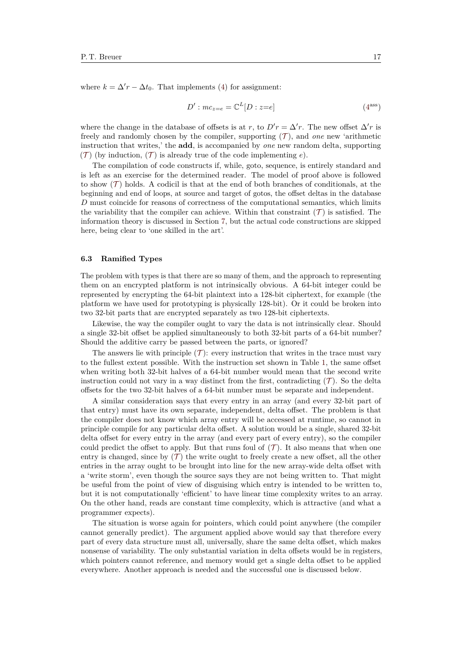where  $k = \Delta' r - \Delta t_0$ . That implements [\(4\)](#page-15-0) for assignment:

$$
D': mc_{z=e} = \mathbb{C}^L[D: z=e]
$$
\n(4<sup>ass</sup>)

where the change in the database of offsets is at *r*, to  $D'r = \Delta'r$ . The new offset  $\Delta'r$  is freely and randomly chosen by the compiler, supporting ([T](#page-7-1) ), and *one* new 'arithmetic instruction that writes,' the **add**, is accompanied by *one* new random delta, supporting  $(\mathcal{T})$  $(\mathcal{T})$  $(\mathcal{T})$  (by induction,  $(\mathcal{T})$  is already true of the code implementing *e*).

The compilation of code constructs if, while, goto, sequence, is entirely standard and is left as an exercise for the determined reader. The model of proof above is followed to show  $(\mathcal{T})$  $(\mathcal{T})$  $(\mathcal{T})$  holds. A codicil is that at the end of both branches of conditionals, at the beginning and end of loops, at source and target of gotos, the offset deltas in the database *D* must coincide for reasons of correctness of the computational semantics, which limits the variability that the compiler can achieve. Within that constraint  $(\mathcal{T})$  $(\mathcal{T})$  $(\mathcal{T})$  is satisfied. The information theory is discussed in Section [7,](#page-21-0) but the actual code constructions are skipped here, being clear to 'one skilled in the art'.

#### **6.3 Ramified Types**

The problem with types is that there are so many of them, and the approach to representing them on an encrypted platform is not intrinsically obvious. A 64-bit integer could be represented by encrypting the 64-bit plaintext into a 128-bit ciphertext, for example (the platform we have used for prototyping is physically 128-bit). Or it could be broken into two 32-bit parts that are encrypted separately as two 128-bit ciphertexts.

Likewise, the way the compiler ought to vary the data is not intrinsically clear. Should a single 32-bit offset be applied simultaneously to both 32-bit parts of a 64-bit number? Should the additive carry be passed between the parts, or ignored?

[T](#page-7-1)he answers lie with principle  $(\mathcal{T})$ : every instruction that writes in the trace must vary to the fullest extent possible. With the instruction set shown in Table [1,](#page-12-0) the same offset when writing both 32-bit halves of a 64-bit number would mean that the second write instruction could not vary in a way distinct from the first, contradicting  $(\mathcal{T})$  $(\mathcal{T})$  $(\mathcal{T})$ . So the delta offsets for the two 32-bit halves of a 64-bit number must be separate and independent.

A similar consideration says that every entry in an array (and every 32-bit part of that entry) must have its own separate, independent, delta offset. The problem is that the compiler does not know which array entry will be accessed at runtime, so cannot in principle compile for any particular delta offset. A solution would be a single, shared 32-bit delta offset for every entry in the array (and every part of every entry), so the compiler could predict the offset to apply. But that runs foul of  $(\mathcal{T})$  $(\mathcal{T})$  $(\mathcal{T})$ . It also means that when one entry is changed, since by  $(\mathcal{T})$  $(\mathcal{T})$  $(\mathcal{T})$  the write ought to freely create a new offset, all the other entries in the array ought to be brought into line for the new array-wide delta offset with a 'write storm', even though the source says they are not being written to. That might be useful from the point of view of disguising which entry is intended to be written to, but it is not computationally 'efficient' to have linear time complexity writes to an array. On the other hand, reads are constant time complexity, which is attractive (and what a programmer expects).

The situation is worse again for pointers, which could point anywhere (the compiler cannot generally predict). The argument applied above would say that therefore every part of every data structure must all, universally, share the same delta offset, which makes nonsense of variability. The only substantial variation in delta offsets would be in registers, which pointers cannot reference, and memory would get a single delta offset to be applied everywhere. Another approach is needed and the successful one is discussed below.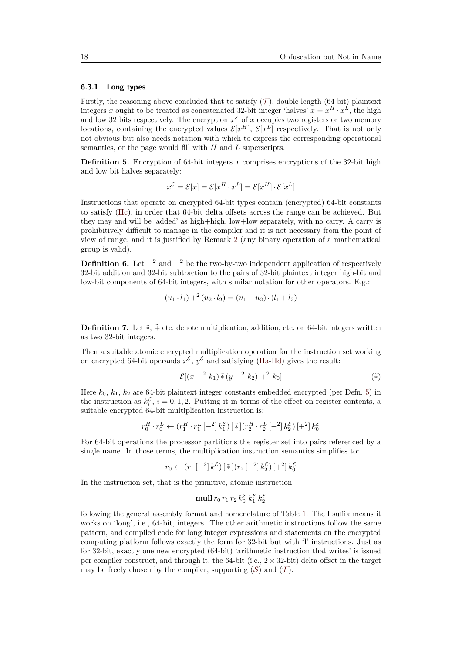#### **6.3.1 Long types**

Firstly, the reasoning above concluded that to satisfy  $(\mathcal{T})$  $(\mathcal{T})$  $(\mathcal{T})$ , double length (64-bit) plaintext integers *x* ought to be treated as concatenated 32-bit integer 'halves'  $x = x^H \cdot x^L$ , the high and low 32 bits respectively. The encryption  $x^{\mathcal{E}}$  of x occupies two registers or two memory locations, containing the encrypted values  $\mathcal{E}[x^H]$ ,  $\mathcal{E}[x^L]$  respectively. That is not only not obvious but also needs notation with which to express the corresponding operational semantics, or the page would fill with *H* and *L* superscripts.

<span id="page-17-0"></span>**Definition 5.** Encryption of 64-bit integers *x* comprises encryptions of the 32-bit high and low bit halves separately:

$$
x^{\mathcal{E}} = \mathcal{E}[x] = \mathcal{E}[x^H \cdot x^L] = \mathcal{E}[x^H] \cdot \mathcal{E}[x^L]
$$

Instructions that operate on encrypted 64-bit types contain (encrypted) 64-bit constants to satisfy [\(IIc\)](#page-10-3), in order that 64-bit delta offsets across the range can be achieved. But they may and will be 'added' as high+high, low+low separately, with no carry. A carry is prohibitively difficult to manage in the compiler and it is not necessary from the point of view of range, and it is justified by Remark [2](#page-11-3) (any binary operation of a mathematical group is valid).

<span id="page-17-1"></span>**Definition 6.** Let  $-\frac{2}{3}$  and  $+\frac{2}{3}$  be the two-by-two independent application of respectively 32-bit addition and 32-bit subtraction to the pairs of 32-bit plaintext integer high-bit and low-bit components of 64-bit integers, with similar notation for other operators. E.g.:

$$
(u_1 \cdot l_1) + (u_2 \cdot l_2) = (u_1 + u_2) \cdot (l_1 + l_2)
$$

**Definition 7.** Let  $\tilde{\ast}$ ,  $\tilde{+}$  etc. denote multiplication, addition, etc. on 64-bit integers written as two 32-bit integers.

Then a suitable atomic encrypted multiplication operation for the instruction set working on encrypted 64-bit operands  $x^{\mathcal{E}}$ ,  $y^{\mathcal{E}}$  and satisfying [\(IIa-](#page-10-1)[IId\)](#page-10-4) gives the result:

$$
\mathcal{E}[(x - 2 k_1) \tilde{*} (y - 2 k_2) + 2 k_0]
$$

Here *k*0, *k*1, *k*<sup>2</sup> are 64-bit plaintext integer constants embedded encrypted (per Defn. [5\)](#page-17-0) in the instruction as  $k_i^{\mathcal{E}}$ ,  $i = 0, 1, 2$ . Putting it in terms of the effect on register contents, a suitable encrypted 64-bit multiplication instruction is:

$$
r_0^H \cdot r_0^L \leftarrow \left(r_1^H \cdot r_1^L \left[-^2\right]k_1^{\mathcal{E}}\right) \left[\begin{smallmatrix}\tilde{*}\end{smallmatrix}\right] \left(r_2^H \cdot r_2^L \left[-^2\right]k_2^{\mathcal{E}}\right) \left[+^2\right]k_0^{\mathcal{E}}
$$

For 64-bit operations the processor partitions the register set into pairs referenced by a single name. In those terms, the multiplication instruction semantics simplifies to:

$$
r_0 \leftarrow (r_1 \left[ -2 \right] k_1^{\mathcal{E}}) \left[ \tilde{\ast} \right] (r_2 \left[ -2 \right] k_2^{\mathcal{E}}) \left[ +2 \right] k_0^{\mathcal{E}}
$$

In the instruction set, that is the primitive, atomic instruction

### ${\rm \bf mult}\, r_0\, r_1\, r_2\, k_0^{\mathcal E}\, k_1^{\mathcal E}\, k_2^{\mathcal E}$

following the general assembly format and nomenclature of Table [1.](#page-12-0) The **l** suffix means it works on 'long', i.e., 64-bit, integers. The other arithmetic instructions follow the same pattern, and compiled code for long integer expressions and statements on the encrypted computing platform follows exactly the form for 32-bit but with '**l**' instructions. Just as for 32-bit, exactly one new encrypted (64-bit) 'arithmetic instruction that writes' is issued per compiler construct, and through it, the 64-bit (i.e.,  $2 \times 32$ -bit) delta offset in the target may be freely chosen by the compiler, supporting  $(S)$  $(S)$  $(S)$  and  $(\mathcal{T})$  $(\mathcal{T})$  $(\mathcal{T})$ .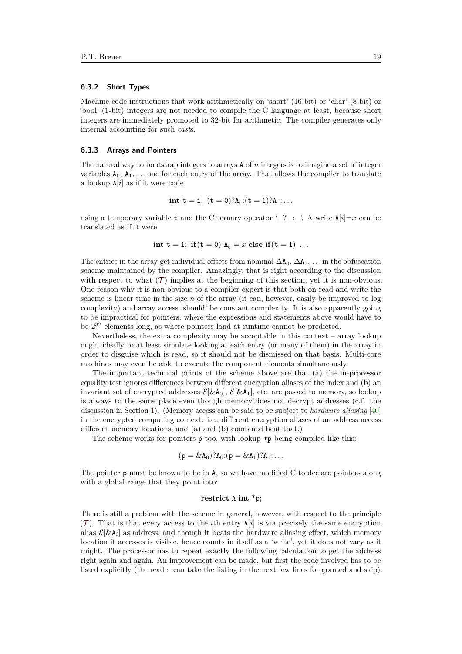#### **6.3.2 Short Types**

Machine code instructions that work arithmetically on 'short' (16-bit) or 'char' (8-bit) or 'bool' (1-bit) integers are not needed to compile the C language at least, because short integers are immediately promoted to 32-bit for arithmetic. The compiler generates only internal accounting for such *cast*s.

#### **6.3.3 Arrays and Pointers**

The natural way to bootstrap integers to arrays A of *n* integers is to imagine a set of integer variables  $A_0, A_1, \ldots$  one for each entry of the array. That allows the compiler to translate a lookup A[*i*] as if it were code

$$
int t = i; (t = 0)? A_0:(t = 1)? A_1:...
$$

using a temporary variable t and the C ternary operator ' $?$ :  $'.$  A write  $A[i]=x$  can be translated as if it were

$$
int t = i; if (t = 0) A_0 = x else if (t = 1) ...
$$

The entries in the array get individual offsets from nominal  $\Delta A_0$ ,  $\Delta A_1$ , . . . in the obfuscation scheme maintained by the compiler. Amazingly, that is right according to the discussion with respect to what  $(\mathcal{T})$  $(\mathcal{T})$  $(\mathcal{T})$  implies at the beginning of this section, yet it is non-obvious. One reason why it is non-obvious to a compiler expert is that both on read and write the scheme is linear time in the size *n* of the array (it can, however, easily be improved to log complexity) and array access 'should' be constant complexity. It is also apparently going to be impractical for pointers, where the expressions and statements above would have to be 2 <sup>32</sup> elements long, as where pointers land at runtime cannot be predicted.

Nevertheless, the extra complexity may be acceptable in this context – array lookup ought ideally to at least simulate looking at each entry (or many of them) in the array in order to disguise which is read, so it should not be dismissed on that basis. Multi-core machines may even be able to execute the component elements simultaneously.

The important technical points of the scheme above are that (a) the in-processor equality test ignores differences between different encryption aliases of the index and (b) an invariant set of encrypted addresses  $\mathcal{E}[\&A_0], \mathcal{E}[\&A_1],$  etc. are passed to memory, so lookup is always to the same place even though memory does not decrypt addresses (c.f. the discussion in Section [1\)](#page-0-0). (Memory access can be said to be subject to *hardware aliasing* [\[40\]](#page-26-19) in the encrypted computing context: i.e., different encryption aliases of an address access different memory locations, and (a) and (b) combined beat that.)

The scheme works for pointers  $p \text{ too}, \text{with lookup } *p \text{ being compiled like this:}$ 

$$
(p = \&A_0)?A_0:(p = \&A_1)?A_1:...
$$

The pointer p must be known to be in A, so we have modified C to declare pointers along with a global range that they point into:

#### **restrict** A **int** \*p**;**

There is still a problem with the scheme in general, however, with respect to the principle  $(\mathcal{T})$  $(\mathcal{T})$  $(\mathcal{T})$ . That is that every access to the *i*th entry  $A[i]$  is via precisely the same encryption alias  $\mathcal{E}[\& A_i]$  as address, and though it beats the hardware aliasing effect, which memory location it accesses is visible, hence counts in itself as a 'write', yet it does not vary as it might. The processor has to repeat exactly the following calculation to get the address right again and again. An improvement can be made, but first the code involved has to be listed explicitly (the reader can take the listing in the next few lines for granted and skip).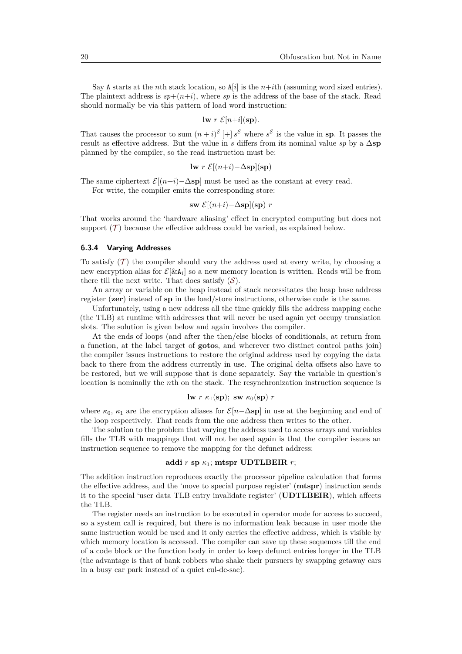Say A starts at the *n*th stack location, so  $A[i]$  is the *n*+*i*th (assuming word sized entries). The plaintext address is  $sp+(n+i)$ , where sp is the address of the base of the stack. Read should normally be via this pattern of load word instruction:

$$
I \mathbf{w} \ r \ \mathcal{E}[n+i](\mathbf{sp}).
$$

That causes the processor to sum  $(n+i)^{\mathcal{E}}[+] s^{\mathcal{E}}$  where  $s^{\mathcal{E}}$  is the value in **sp**. It passes the result as effective address. But the value in *s* differs from its nominal value *sp* by a  $\Delta$ **sp** planned by the compiler, so the read instruction must be:

$$
\mathbf{lw} \ r \ \mathcal{E}[(n+i) - \Delta \mathbf{sp}](\mathbf{sp})
$$

The same ciphertext  $\mathcal{E}[(n+i)-\Delta s\mathbf{p}]$  must be used as the constant at every read.

For write, the compiler emits the corresponding store:

$$
\mathbf{sw} \ \mathcal{E}[(n+i)-\Delta \mathbf{sp}](\mathbf{sp}) \ r
$$

That works around the 'hardware aliasing' effect in encrypted computing but does not support  $(\mathcal{T})$  $(\mathcal{T})$  $(\mathcal{T})$  because the effective address could be varied, as explained below.

#### **6.3.4 Varying Addresses**

[T](#page-7-1)o satisfy  $(T)$  the compiler should vary the address used at every write, by choosing a new encryption alias for  $\mathcal{E}[\& A_i]$  so a new memory location is written. Reads will be from there till the next write. That does satisfy  $(S)$  $(S)$  $(S)$ .

An array or variable on the heap instead of stack necessitates the heap base address register (**zer**) instead of **sp** in the load/store instructions, otherwise code is the same.

Unfortunately, using a new address all the time quickly fills the address mapping cache (the TLB) at runtime with addresses that will never be used again yet occupy translation slots. The solution is given below and again involves the compiler.

At the ends of loops (and after the then/else blocks of conditionals, at return from a function, at the label target of **goto**s, and wherever two distinct control paths join) the compiler issues instructions to restore the original address used by copying the data back to there from the address currently in use. The original delta offsets also have to be restored, but we will suppose that is done separately. Say the variable in question's location is nominally the *n*th on the stack. The resynchronization instruction sequence is

$$
lw r \kappa_1(sp); sw \kappa_0(sp) r
$$

where  $\kappa_0$ ,  $\kappa_1$  are the encryption aliases for  $\mathcal{E}[n-\Delta s\mathbf{p}]$  in use at the beginning and end of the loop respectively. That reads from the one address then writes to the other.

The solution to the problem that varying the address used to access arrays and variables fills the TLB with mappings that will not be used again is that the compiler issues an instruction sequence to remove the mapping for the defunct address:

### **addi** *r* **sp** *κ*1; **mtspr UDTLBEIR** *r*;

The addition instruction reproduces exactly the processor pipeline calculation that forms the effective address, and the 'move to special purpose register' (**mtspr**) instruction sends it to the special 'user data TLB entry invalidate register' (**UDTLBEIR**), which affects the TLB.

The register needs an instruction to be executed in operator mode for access to succeed, so a system call is required, but there is no information leak because in user mode the same instruction would be used and it only carries the effective address, which is visible by which memory location is accessed. The compiler can save up these sequences till the end of a code block or the function body in order to keep defunct entries longer in the TLB (the advantage is that of bank robbers who shake their pursuers by swapping getaway cars in a busy car park instead of a quiet cul-de-sac).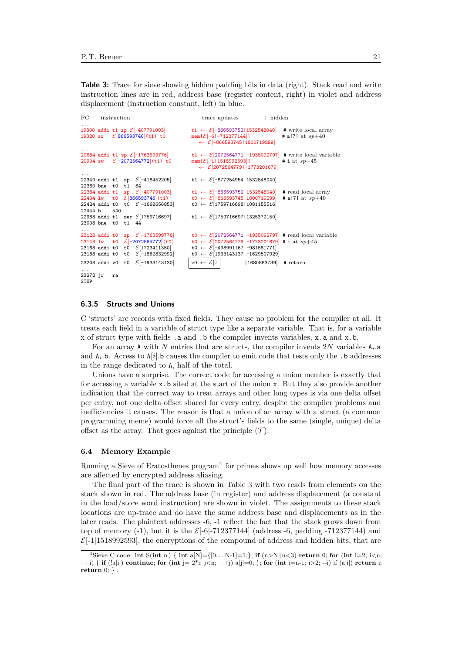<span id="page-20-1"></span>**Table 3:** Trace for sieve showing hidden padding bits in data (right). Stack read and write instruction lines are in red, address base (register content, right) in violet and address displacement (instruction constant, left) in blue.

```
PC instruction trace updates | hidden
...
                                                             t1 \leftarrow \mathcal{E}[-666593752|1532548040] # write local array<br>mem[\mathcal{E}[-6[-712377144]] + a[7] at sp+4019320 sw \mathcal{E}[866593746](t1) t0 mem[\mathcal{E}[-6]-712377144]] # a[7] at sp+40← E[-86659374511800719299]20884 addi t1 sp \mathcal{E}[-1763599776]
                                                             t1 ← E[2072564771|-1935092797] # write local variable<br>mem[E[-1|1518992593]] # i at sp+4520904 sw \mathcal{E}[-2072564772](\text{t1}) to
                                                                 ← E[2072564779]-1773201679]...
22340 addi t1 sp E[-418452205] t1 ← E[-877254954|1532548040]
22360 bne t0 t1 84
22384 addi t1 sp \mathcal{E}[-407791003] t1 ← \mathcal{E}[-866593752|1532548040] # read local array<br>22404 1w t0 \mathcal{E}[866593746](t1) t0 ← \mathcal{E}[-866593745|1800719299] # a[7] at sp+40
                                                             220 \leftarrow 2[-866593745|1800719299]<br>
20 \leftarrow 2[1759716698|1081155516]22424 addi t0 t0 \mathcal{E}[-1668656853]<br>22444 b 540
22444 b
22988 addi t1 zer E[1759716697] t1 ← E[175971669711325372150]23008 bne t0 t1 44
23128 addi t0 sp
23128 addi t0 sp \mathcal{E}[-1763599776] t0 ← \mathcal{E}[2072564771]-1935092797] # read local variable<br>23148 lw t0 \mathcal{E}[-2072564772](t0) t0 ← \mathcal{E}[2072564779]-1773201679] # i at sp+45
                                                             \text{13.13 } \text{to } \in \mathbb{Z}[2072564779] -1773201679] # i at sp+4523168 addi t0 t0 \mathcal{E}[1723411350]<br>23188 addi t0 t0 \mathcal{E}[-1862832992]\text{10 } \leftarrow \mathcal{E}[-498991167|-981581771]<br>
\text{10 } \leftarrow \mathcal{E}[1933143137|-1629507929]
23208 addi v0 t0 \mathcal{E}[-1933143130] |v0 \leftarrow \mathcal{E}[7] |1680883739] # return
...
23272 jr ra
STOP
```
### **6.3.5 Structs and Unions**

C 'structs' are records with fixed fields. They cause no problem for the compiler at all. It treats each field in a variable of struct type like a separate variable. That is, for a variable x of struct type with fields .a and .b the compiler invents variables, x.a and x.b.

For an array **A** with *N* entries that are structs, the compiler invents  $2N$  variables  $A_i$ . and  $A_i$ .b. Access to  $A[i]$ .b causes the compiler to emit code that tests only the .b addresses in the range dedicated to A, half of the total.

Unions have a surprise. The correct code for accessing a union member is exactly that for accessing a variable x.b sited at the start of the union x. But they also provide another indication that the correct way to treat arrays and other long types is via one delta offset per entry, not one delta offset shared for every entry, despite the compiler problems and inefficiencies it causes. The reason is that a union of an array with a struct (a common programming meme) would force all the struct's fields to the same (single, unique) delta offset as the array. [T](#page-7-1)hat goes against the principle  $(\mathcal{T})$ .

### **6.4 Memory Example**

Running a Sieve of Eratosthenes  $\text{program}^4$  $\text{program}^4$  for primes shows up well how memory accesses are affected by encrypted address aliasing.

The final part of the trace is shown in Table [3](#page-20-1) with two reads from elements on the stack shown in red. The address base (in register) and address displacement (a constant in the load/store word instruction) are shown in violet. The assignments to these stack locations are up-trace and do have the same address base and displacements as in the later reads. The plaintext addresses -6, -1 reflect the fact that the stack grows down from top of memory  $(-1)$ , but it is the  $\mathcal{E}[-6]-712377144]$  (address -6, padding -712377144) and  $\mathcal{E}$ [-1][1518992593], the encryptions of the compound of address and hidden bits, that are

<span id="page-20-0"></span><sup>&</sup>lt;sup>4</sup>Sieve C code: **int** S(**int** n) { **int** a[N]={ $[0...N-1]=1$ }; **if**  $(n>N||n<3)$  **return** 0; **for** (**int** i=2; i<n;  $+$ +i) { **if** ( $[a[i]]$ ) **continue**; **for** ( $int j = 2^*i$ ;  $j \lt n$ ;  $++j$ )  $a[j]=0$ ; }; **for** ( $int i = n-1$ ;  $i > 2$ ; --i) if  $(a[i])$  **return** i; **return** 0; } .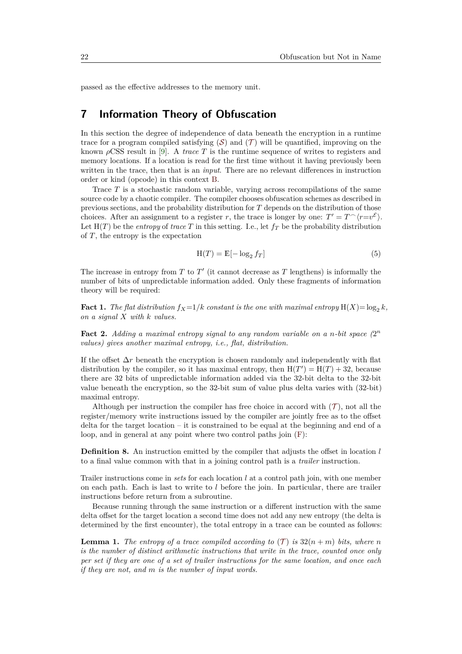passed as the effective addresses to the memory unit.

### <span id="page-21-0"></span>**7 Information Theory of Obfuscation**

In this section the degree of independence of data beneath the encryption in a runtime trace for a program compiled satisfying  $(S)$  $(S)$  $(S)$  and  $(T)$  $(T)$  $(T)$  will be quantified, improving on the known *ρ*CSS result in [\[9\]](#page-25-4). A *trace T* is the runtime sequence of writes to registers and memory locations. If a location is read for the first time without it having previously been written in the trace, then that is an *input*. There are no relevant differences in instruction order or kind (opcode) in this context [B.](#page-6-4)

Trace *T* is a stochastic random variable, varying across recompilations of the same source code by a chaotic compiler. The compiler chooses obfuscation schemes as described in previous sections, and the probability distribution for *T* depends on the distribution of those choices. After an assignment to a register *r*, the trace is longer by one:  $T' = T^{\frown} \langle r = v^{\mathcal{E}} \rangle$ . Let  $H(T)$  be the *entropy* of *trace T* in this setting. I.e., let  $f_T$  be the probability distribution of *T*, the entropy is the expectation

$$
H(T) = E[-\log_2 f_T] \tag{5}
$$

The increase in entropy from  $T$  to  $T'$  (it cannot decrease as  $T$  lengthens) is informally the number of bits of unpredictable information added. Only these fragments of information theory will be required:

**Fact 1.** *The flat distribution*  $f_X = 1/k$  *constant is the one with maximal entropy*  $H(X) = \log_2 k$ *, on a signal X with k values.*

Fact 2. Adding a maximal entropy signal to any random variable on a n-bit space  $(2^n)$ *values) gives another maximal entropy, i.e., flat, distribution.*

If the offset ∆*r* beneath the encryption is chosen randomly and independently with flat distribution by the compiler, so it has maximal entropy, then  $H(T') = H(T) + 32$ , because there are 32 bits of unpredictable information added via the 32-bit delta to the 32-bit value beneath the encryption, so the 32-bit sum of value plus delta varies with (32-bit) maximal entropy.

Although per instruction the compiler has free choice in accord with  $(\mathcal{T})$  $(\mathcal{T})$  $(\mathcal{T})$ , not all the register/memory write instructions issued by the compiler are jointly free as to the offset delta for the target location – it is constrained to be equal at the beginning and end of a loop, and in general at any point where two control paths join [\(F\)](#page-7-3):

**Definition 8.** An instruction emitted by the compiler that adjusts the offset in location *l* to a final value common with that in a joining control path is a *trailer* instruction.

Trailer instructions come in *sets* for each location *l* at a control path join, with one member on each path. Each is last to write to *l* before the join. In particular, there are trailer instructions before return from a subroutine.

Because running through the same instruction or a different instruction with the same delta offset for the target location a second time does not add any new entropy (the delta is determined by the first encounter), the total entropy in a trace can be counted as follows:

<span id="page-21-1"></span>**Lemma 1.** [T](#page-7-1)he entropy of a trace compiled according to  $(T)$  is  $32(n+m)$  bits, where *n is the number of distinct arithmetic instructions that write in the trace, counted once only per set if they are one of a set of trailer instructions for the same location, and once each if they are not, and m is the number of input words.*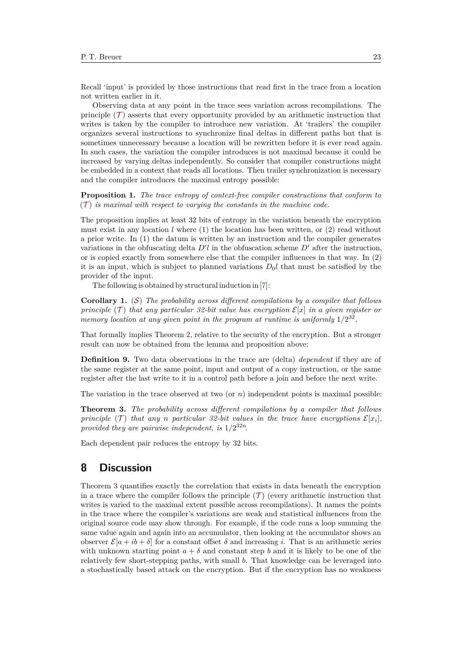Recall 'input' is provided by those instructions that read first in the trace from a location not written earlier in it.

Observing data at any point in the trace sees variation across recompilations. The principle  $(\mathcal{T})$  $(\mathcal{T})$  $(\mathcal{T})$  asserts that every opportunity provided by an arithmetic instruction that writes is taken by the compiler to introduce new variation. At 'trailers' the compiler organizes several instructions to synchronize final deltas in different paths but that is sometimes unnecessary because a location will be rewritten before it is ever read again. In such cases, the variation the compiler introduces is not maximal because it could be increased by varying deltas independently. So consider that compiler constructions might be embedded in a context that reads all locations. Then trailer synchronization is necessary and the compiler introduces the maximal entropy possible:

**Proposition 1.** *The trace entropy of context-free compiler constructions that conform to*  $(T)$  $(T)$  $(T)$  *is maximal with respect to varying the constants in the machine code.* 

The proposition implies at least 32 bits of entropy in the variation beneath the encryption must exist in any location *l* where (1) the location has been written, or (2) read without a prior write. In (1) the datum is written by an instruction and the compiler generates variations in the obfuscating delta  $D^{\prime}l$  in the obfuscation scheme  $D^{\prime}$  after the instruction, or is copied exactly from somewhere else that the compiler influences in that way. In (2) it is an input, which is subject to planned variations  $D_0 l$  that must be satisfied by the provider of the input.

The following is obtained by structural induction in[\[7\]](#page-25-2):

**Corollary 1.** ([S](#page-7-4)) *The probability across different compilations by a compiler that follows principle* (*[T](#page-7-1)*) *that any particular 32-bit value has encryption*  $\mathcal{E}[x]$  *in a given register or* memory location at any given point in the program at runtime is uniformly  $1/2^{32}$ .

That formally implies Theorem [2,](#page-10-7) relative to the security of the encryption. But a stronger result can now be obtained from the lemma and proposition above:

<span id="page-22-2"></span>**Definition 9.** Two data observations in the trace are (delta) *dependent* if they are of the same register at the same point, input and output of a copy instruction, or the same register after the last write to it in a control path before a join and before the next write.

The variation in the trace observed at two (or *n*) independent points is maximal possible:

<span id="page-22-1"></span>**Theorem 3.** *The probability across different compilations by a compiler that follows principle* (*[T](#page-7-1)*) *that any n particular* 32-bit values in the trace have encryptions  $\mathcal{E}[x_i]$ , *provided they are pairwise independent, is* 1*/*2 <sup>32</sup>*<sup>n</sup>.*

Each dependent pair reduces the entropy by 32 bits.

# <span id="page-22-0"></span>**8 Discussion**

Theorem [3](#page-22-1) quantifies exactly the correlation that exists in data beneath the encryption in a trace where the compiler follows the principle  $(\mathcal{T})$  $(\mathcal{T})$  $(\mathcal{T})$  (every arithmetic instruction that writes is varied to the maximal extent possible across recompilations). It names the points in the trace where the compiler's variations are weak and statistical influences from the original source code may show through. For example, if the code runs a loop summing the same value again and again into an accumulator, then looking at the accumulator shows an observer  $\mathcal{E}[a + ib + \delta]$  for a constant offset  $\delta$  and increasing *i*. That is an arithmetic series with unknown starting point  $a + \delta$  and constant step *b* and it is likely to be one of the relatively few short-stepping paths, with small *b*. That knowledge can be leveraged into a stochastically based attack on the encryption. But if the encryption has no weakness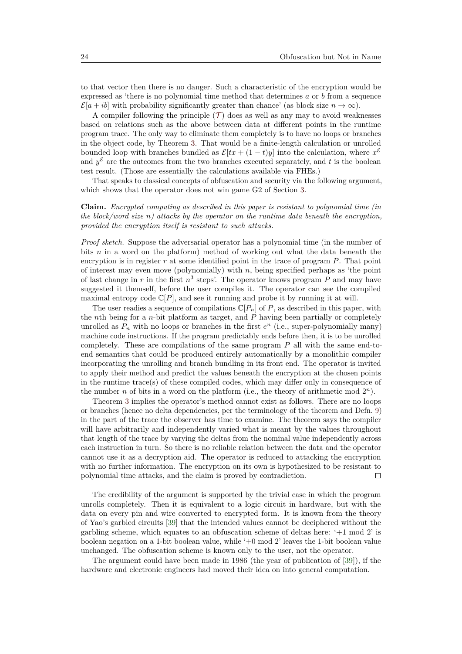to that vector then there is no danger. Such a characteristic of the encryption would be expressed as 'there is no polynomial time method that determines *a* or *b* from a sequence  $\mathcal{E}[a+ib]$  with probability significantly greater than chance' (as block size  $n \to \infty$ ).

A compiler following the principle  $(\mathcal{T})$  $(\mathcal{T})$  $(\mathcal{T})$  does as well as any may to avoid weaknesses based on relations such as the above between data at different points in the runtime program trace. The only way to eliminate them completely is to have no loops or branches in the object code, by Theorem [3.](#page-22-1) That would be a finite-length calculation or unrolled bounded loop with branches bundled as  $\mathcal{E}[tx + (1-t)y]$  into the calculation, where  $x^{\xi}$ and  $y^{\mathcal{E}}$  are the outcomes from the two branches executed separately, and t is the boolean test result. (Those are essentially the calculations available via FHEs.)

That speaks to classical concepts of obfuscation and security via the following argument, which shows that the operator does not win game G2 of Section [3.](#page-4-0)

**Claim.** *Encrypted computing as described in this paper is resistant to polynomial time (in the block/word size n) attacks by the operator on the runtime data beneath the encryption, provided the encryption itself is resistant to such attacks.*

*Proof sketch.* Suppose the adversarial operator has a polynomial time (in the number of bits *n* in a word on the platform) method of working out what the data beneath the encryption is in register *r* at some identified point in the trace of program *P*. That point of interest may even move (polynomially) with *n*, being specified perhaps as 'the point of last change in  $r$  in the first  $n^3$  steps'. The operator knows program  $P$  and may have suggested it themself, before the user compiles it. The operator can see the compiled maximal entropy code  $\mathbb{C}[P]$ , and see it running and probe it by running it at will.

The user readies a sequence of compilations  $\mathbb{C}[P_n]$  of P, as described in this paper, with the *n*th being for a *n*-bit platform as target, and *P* having been partially or completely unrolled as  $P_n$  with no loops or branches in the first  $e^n$  (i.e., super-polynomially many) machine code instructions. If the program predictably ends before then, it is to be unrolled completely. These are compilations of the same program *P* all with the same end-toend semantics that could be produced entirely automatically by a monolithic compiler incorporating the unrolling and branch bundling in its front end. The operator is invited to apply their method and predict the values beneath the encryption at the chosen points in the runtime trace(s) of these compiled codes, which may differ only in consequence of the number *n* of bits in a word on the platform (i.e., the theory of arithmetic mod  $2^n$ ).

Theorem [3](#page-22-1) implies the operator's method cannot exist as follows. There are no loops or branches (hence no delta dependencies, per the terminology of the theorem and Defn. [9\)](#page-22-2) in the part of the trace the observer has time to examine. The theorem says the compiler will have arbitrarily and independently varied what is meant by the values throughout that length of the trace by varying the deltas from the nominal value independently across each instruction in turn. So there is no reliable relation between the data and the operator cannot use it as a decryption aid. The operator is reduced to attacking the encryption with no further information. The encryption on its own is hypothesized to be resistant to polynomial time attacks, and the claim is proved by contradiction.  $\Box$ 

The credibility of the argument is supported by the trivial case in which the program unrolls completely. Then it is equivalent to a logic circuit in hardware, but with the data on every pin and wire converted to encrypted form. It is known from the theory of Yao's garbled circuits [\[39\]](#page-26-18) that the intended values cannot be deciphered without the garbling scheme, which equates to an obfuscation scheme of deltas here: '+1 mod 2' is boolean negation on a 1-bit boolean value, while '+0 mod 2' leaves the 1-bit boolean value unchanged. The obfuscation scheme is known only to the user, not the operator.

The argument could have been made in 1986 (the year of publication of [\[39\]](#page-26-18)), if the hardware and electronic engineers had moved their idea on into general computation.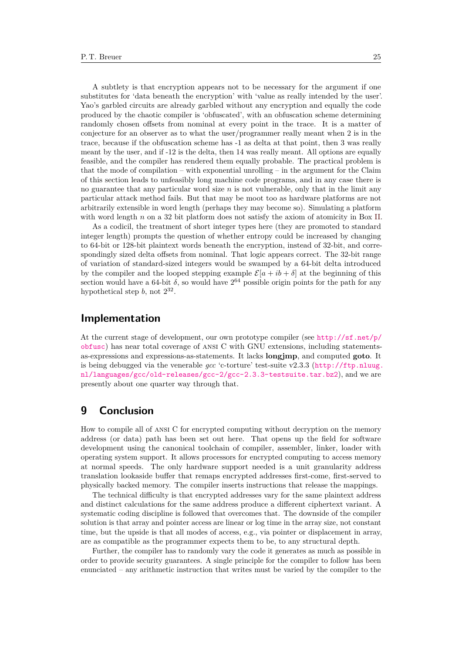A subtlety is that encryption appears not to be necessary for the argument if one substitutes for 'data beneath the encryption' with 'value as really intended by the user'. Yao's garbled circuits are already garbled without any encryption and equally the code produced by the chaotic compiler is 'obfuscated', with an obfuscation scheme determining randomly chosen offsets from nominal at every point in the trace. It is a matter of conjecture for an observer as to what the user/programmer really meant when 2 is in the trace, because if the obfuscation scheme has -1 as delta at that point, then 3 was really meant by the user, and if -12 is the delta, then 14 was really meant. All options are equally feasible, and the compiler has rendered them equally probable. The practical problem is that the mode of compilation – with exponential unrolling – in the argument for the Claim of this section leads to unfeasibly long machine code programs, and in any case there is no guarantee that any particular word size *n* is not vulnerable, only that in the limit any particular attack method fails. But that may be moot too as hardware platforms are not arbitrarily extensible in word length (perhaps they may become so). Simulating a platform with word length *n* on a 32 bit platform does not satisfy the axiom of atomicity in Box [II.](#page-7-0)

As a codicil, the treatment of short integer types here (they are promoted to standard integer length) prompts the question of whether entropy could be increased by changing to 64-bit or 128-bit plaintext words beneath the encryption, instead of 32-bit, and correspondingly sized delta offsets from nominal. That logic appears correct. The 32-bit range of variation of standard-sized integers would be swamped by a 64-bit delta introduced by the compiler and the looped stepping example  $\mathcal{E}[a + ib + \delta]$  at the beginning of this section would have a 64-bit  $\delta$ , so would have  $2^{64}$  possible origin points for the path for any hypothetical step  $b$ , not  $2^{32}$ .

### **Implementation**

At the current stage of development, our own prototype compiler (see [http://sf.net/p/](http://sf.net/p/obfusc) [obfusc](http://sf.net/p/obfusc)) has near total coverage of ansi C with GNU extensions, including statementsas-expressions and expressions-as-statements. It lacks **longjmp**, and computed **goto**. It is being debugged via the venerable *gcc* 'c-torture' test-suite v2.3.3 ([http://ftp.nluug.](http://ftp.nluug.nl/languages/gcc/old-releases/gcc-2/gcc-2.3.3-testsuite.tar.bz2) [nl/languages/gcc/old-releases/gcc-2/gcc-2.3.3-testsuite.tar.bz2](http://ftp.nluug.nl/languages/gcc/old-releases/gcc-2/gcc-2.3.3-testsuite.tar.bz2)), and we are presently about one quarter way through that.

# **9 Conclusion**

How to compile all of ansi C for encrypted computing without decryption on the memory address (or data) path has been set out here. That opens up the field for software development using the canonical toolchain of compiler, assembler, linker, loader with operating system support. It allows processors for encrypted computing to access memory at normal speeds. The only hardware support needed is a unit granularity address translation lookaside buffer that remaps encrypted addresses first-come, first-served to physically backed memory. The compiler inserts instructions that release the mappings.

The technical difficulty is that encrypted addresses vary for the same plaintext address and distinct calculations for the same address produce a different ciphertext variant. A systematic coding discipline is followed that overcomes that. The downside of the compiler solution is that array and pointer access are linear or log time in the array size, not constant time, but the upside is that all modes of access, e.g., via pointer or displacement in array, are as compatible as the programmer expects them to be, to any structural depth.

Further, the compiler has to randomly vary the code it generates as much as possible in order to provide security guarantees. A single principle for the compiler to follow has been enunciated – any arithmetic instruction that writes must be varied by the compiler to the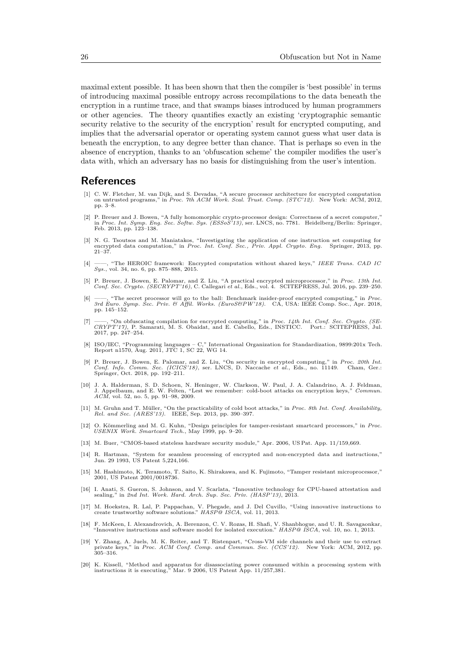maximal extent possible. It has been shown that then the compiler is 'best possible' in terms of introducing maximal possible entropy across recompilations to the data beneath the encryption in a runtime trace, and that swamps biases introduced by human programmers or other agencies. The theory quantifies exactly an existing 'cryptographic semantic security relative to the security of the encryption' result for encrypted computing, and implies that the adversarial operator or operating system cannot guess what user data is beneath the encryption, to any degree better than chance. That is perhaps so even in the absence of encryption, thanks to an 'obfuscation scheme' the compiler modifies the user's data with, which an adversary has no basis for distinguishing from the user's intention.

### **References**

- <span id="page-25-0"></span>[1] C. W. Fletcher, M. van Dijk, and S. Devadas, "A secure processor architecture for encrypted computation on untrusted programs," in *Proc. 7th ACM Work. Scal. Trust. Comp. (STC'12)*. New York: ACM, 2012, pp. 3–8.
- <span id="page-25-18"></span>[2] P. Breuer and J. Bowen, "A fully homomorphic crypto-processor design: Correctness of a secret computer," in *Proc. Int. Symp. Eng. Sec. Softw. Sys. (ESSoS'13)*, ser. LNCS, no. 7781. Heidelberg/Berlin: Springer, Feb. 2013, pp. 123–138.
- <span id="page-25-16"></span>[3] N. G. Tsoutsos and M. Maniatakos, "Investigating the application of one instruction set computing for encrypted data computation," in *Proc. Int. Conf. Sec., Priv. Appl. Crypto. Eng.* Springer, 2013, pp. 21–37.
- <span id="page-25-17"></span>[4] ——, "The HEROIC framework: Encrypted computation without shared keys," *IEEE Trans. CAD IC Sys.*, vol. 34, no. 6, pp. 875–888, 2015.
- <span id="page-25-15"></span>[5] P. Breuer, J. Bowen, E. Palomar, and Z. Liu, "A practical encrypted microprocessor," in Proc. 13th Int.<br>Conf. Sec. Crypto. (SECRYPT'16), C. Callegari et al., Eds., vol. 4. SCITEPRESS, Jul. 2016, pp. 239–250.
- <span id="page-25-1"></span>[6] ——, "The secret processor will go to the ball: Benchmark insider-proof encrypted computing," in *Proc. 3rd Euro. Symp. Sec. Priv. & Affil. Works. (EuroS&PW'18)*. CA, USA: IEEE Comp. Soc., Apr. 2018, pp. 145–152.
- <span id="page-25-2"></span>[7] ——, "On obfuscating compilation for encrypted computing," in *Proc. 14th Int. Conf. Sec. Crypto. (SE-CRYPT'17)*, P. Samarati, M. S. Obaidat, and E. Cabello, Eds., INSTICC. Port.: SCITEPRESS, Jul. 2017, pp. 247–254.
- <span id="page-25-3"></span>[8] ISO/IEC, "Programming languages – C," International Organization for Standardization, 9899:201x Tech. Report n1570, Aug. 2011, JTC 1, SC 22, WG 14.
- <span id="page-25-4"></span>[9] P. Breuer, J. Bowen, E. Palomar, and Z. Liu, "On security in encrypted computing," in Proc. 20th Int.<br>Conf. Info. Comm. Sec. (ICICS'18), ser. LNCS, D. Naccache et al., Eds., no. 11149. Cham, Ger.:<br>Springer, Oct. 2018,
- <span id="page-25-5"></span>[10] J. A. Halderman, S. D. Schoen, N. Heninger, W. Clarkson, W. Paul, J. A. Calandrino, A. J. Feldman, J. Appelbaum, and E. W. Felten, "Lest we remember: cold-boot attacks on encryption keys," *Commun. ACM*, vol. 52, no. 5, pp. 91–98, 2009.
- <span id="page-25-6"></span>[11] M. Gruhn and T. Müller, "On the practicability of cold boot attacks," in *Proc. 8th Int. Conf. Availability, Rel. and Sec. (ARES'13)*. IEEE, Sep. 2013, pp. 390–397.
- <span id="page-25-7"></span>[12] O. Kömmerling and M. G. Kuhn, "Design principles for tamper-resistant smartcard processors," in *Proc. USENIX Work. Smartcard Tech.*, May 1999, pp. 9–20.
- <span id="page-25-8"></span>[13] M. Buer, "CMOS-based stateless hardware security module," Apr. 2006, US Pat. App. 11/159,669.
- <span id="page-25-9"></span>[14] R. Hartman, "System for seamless processing of encrypted and non-encrypted data and instructions," Jun. 29 1993, US Patent 5,224,166.
- <span id="page-25-10"></span>[15] M. Hashimoto, K. Teramoto, T. Saito, K. Shirakawa, and K. Fujimoto, "Tamper resistant microprocessor," 2001, US Patent 2001/0018736.
- <span id="page-25-11"></span>[16] I. Anati, S. Gueron, S. Johnson, and V. Scarlata, "Innovative technology for CPU-based attestation and sealing," in *2nd Int. Work. Hard. Arch. Sup. Sec. Priv. (HASP'13)*, 2013.
- [17] M. Hoekstra, R. Lal, P. Pappachan, V. Phegade, and J. Del Cuvillo, "Using innovative instructions to create trustworthy software solutions." *HASP@ ISCA*, vol. 11, 2013.
- <span id="page-25-12"></span>[18] F. McKeen, I. Alexandrovich, A. Berenzon, C. V. Rozas, H. Shafi, V. Shanbhogue, and U. R. Savagaonkar, "Innovative instructions and software model for isolated execution." *HASP@ ISCA*, vol. 10, no. 1, 2013.
- <span id="page-25-13"></span>[19] Y. Zhang, A. Juels, M. K. Reiter, and T. Ristenpart, "Cross-VM side channels and their use to extract private keys," in *Proc. ACM Conf. Comp. and Commun. Sec. (CCS'12)*. New York: ACM, 2012, pp. 305–316.
- <span id="page-25-14"></span>[20] K. Kissell, "Method and apparatus for disassociating power consumed within a processing system with instructions it is executing," Mar. 9 2006, US Patent App. 11/257,381.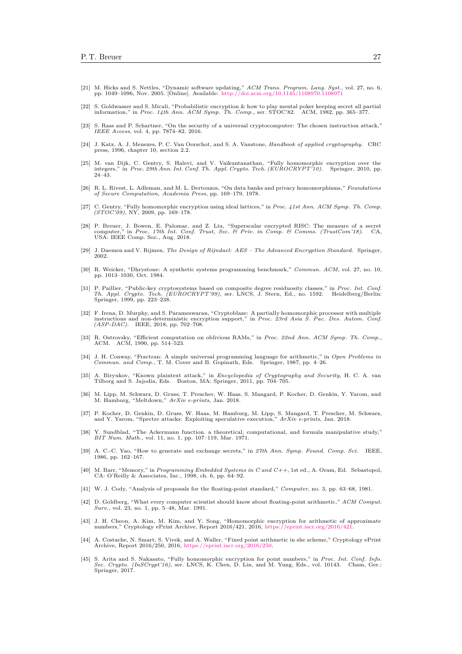- <span id="page-26-0"></span>[21] M. Hicks and S. Nettles, "Dynamic software updating," *ACM Trans. Program. Lang. Syst.*, vol. 27, no. 6, pp. 1049–1096, Nov. 2005. [Online]. Available: <http://doi.acm.org/10.1145/1108970.1108971>
- <span id="page-26-1"></span>[22] S. Goldwasser and S. Micali, "Probabilistic encryption & how to play mental poker keeping secret all partial information," in *Proc. 14th Ann. ACM Symp. Th. Comp.*, ser. STOC'82. ACM, 1982, pp. 365–377.
- <span id="page-26-2"></span>[23] S. Rass and P. Schartner, "On the security of a universal cryptocomputer: The chosen instruction attack," *IEEE Access*, vol. 4, pp. 7874–82, 2016.
- <span id="page-26-3"></span>[24] J. Katz, A. J. Menezes, P. C. Van Oorschot, and S. A. Vanstone, *Handbook of applied cryptography*. CRC press, 1996, chapter 10, section 2.2.
- <span id="page-26-4"></span>[25] M. van Dijk, C. Gentry, S. Halevi, and V. Vaikuntanathan, "Fully homomorphic encryption over the integers," in *Proc. 29th Ann. Int. Conf. Th. Appl. Crypto. Tech. (EUROCRYPT'10)*. Springer, 2010, pp. 24–43.
- <span id="page-26-5"></span>[26] R. L. Rivest, L. Adleman, and M. L. Dertouzos, "On data banks and privacy homomorphisms," *Foundations of Secure Computation, Academia Press*, pp. 169–179, 1978.
- <span id="page-26-6"></span>[27] C. Gentry, "Fully homomorphic encryption using ideal lattices," in *Proc. 41st Ann. ACM Symp. Th. Comp. (STOC'09)*, NY, 2009, pp. 169–178.
- <span id="page-26-7"></span>[28] P. Breuer, J. Bowen, E. Palomar, and Z. Liu, "Superscalar encrypted RISC: The measure of a secret computer." in Proc. 17th Int. Conf. Trust. Sec. & Prin. in Comp. & Comms. (TrustCom'18). CA. computer," in *Proc. 17th Int. Conf. Trust, Sec. & Priv. in Comp. & Comms. (TrustCom'18)*. CA, USA: IEEE Comp. Soc., Aug. 2018.
- <span id="page-26-8"></span>[29] J. Daemen and V. Rijmen, *The Design of Rijndael: AES – The Advanced Encryption Standard*. Springer, 2002.
- <span id="page-26-9"></span>[30] R. Weicker, "Dhrystone: A synthetic systems programming benchmark," *Commun. ACM*, vol. 27, no. 10, pp. 1013–1030, Oct. 1984.
- <span id="page-26-10"></span>[31] P. Paillier, "Public-key cryptosystems based on composite degree residuosity classes," in *Proc. Int. Conf. Th. Appl. Crypto. Tech. (EUROCRYPT'99)*, ser. LNCS, J. Stern, Ed., no. 1592. Heidelberg/Berlin: Springer, 1999, pp. 223–238.
- <span id="page-26-11"></span>[32] F. Irena, D. Murphy, and S. Parameswaran, "Cryptoblaze: A partially homomorphic processor with multiple instructions and non-deterministic encryption support," in *Proc. 23rd Asia S. Pac. Des. Autom. Conf. (ASP-DAC)*. IEEE, 2018, pp. 702–708.
- <span id="page-26-12"></span>[33] R. Ostrovsky, "Efficient computation on oblivious RAMs," in *Proc. 22nd Ann. ACM Symp. Th. Comp.*, ACM. ACM, 1990, pp. 514–523.
- <span id="page-26-13"></span>[34] J. H. Conway, "Fractran: A simple universal programming language for arithmetic," in *Open Problems in Commun. and Comp.*, T. M. Cover and B. Gopinath, Eds. Springer, 1987, pp. 4–26.
- <span id="page-26-14"></span>[35] A. Biryukov, "Known plaintext attack," in *Encyclopedia of Cryptography and Security*, H. C. A. van Tilborg and S. Jajodia, Eds. Boston, MA: Springer, 2011, pp. 704–705.
- <span id="page-26-15"></span>[36] M. Lipp, M. Schwarz, D. Gruss, T. Prescher, W. Haas, S. Mangard, P. Kocher, D. Genkin, Y. Yarom, and M. Hamburg, "Meltdown," *ArXiv e-prints*, Jan. 2018.
- <span id="page-26-16"></span>[37] P. Kocher, D. Genkin, D. Gruss, W. Haas, M. Hamburg, M. Lipp, S. Mangard, T. Prescher, M. Schwarz, and Y. Yarom, "Spectre attacks: Exploiting speculative execution," *ArXiv e-prints*, Jan. 2018.
- <span id="page-26-17"></span>[38] Y. Sundblad, "The Ackermann function. a theoretical, computational, and formula manipulative study," *BIT Num. Math.*, vol. 11, no. 1, pp. 107–119, Mar. 1971.
- <span id="page-26-18"></span>[39] A. C.-C. Yao, "How to generate and exchange secrets," in *27th Ann. Symp. Found. Comp. Sci.* IEEE, 1986, pp. 162–167.
- <span id="page-26-19"></span>[40] M. Barr, "Memory," in *Programming Embedded Systems in C and C++*, 1st ed., A. Oram, Ed. Sebastopol, CA: O'Reilly & Associates, Inc., 1998, ch. 6, pp. 64–92.
- <span id="page-26-20"></span>[41] W. J. Cody, "Analysis of proposals for the floating-point standard," *Computer*, no. 3, pp. 63–68, 1981.
- <span id="page-26-21"></span>[42] D. Goldberg, "What every computer scientist should know about floating-point arithmetic," *ACM Comput. Surv.*, vol. 23, no. 1, pp. 5–48, Mar. 1991.
- <span id="page-26-22"></span>[43] J. H. Cheon, A. Kim, M. Kim, and Y. Song, "Homomorphic encryption for arithmetic of approximate numbers," Cryptology ePrint Archive, Report 2016/421, 2016, [https://eprint.iacr.org/2016/421.](https://eprint.iacr.org/2016/421)
- [44] A. Costache, N. Smart, S. Vivek, and A. Waller, "Fixed point arithmetic in she scheme," Cryptology ePrint Archive, Report 2016/250, 2016, [https://eprint.iacr.org/2016/250.](https://eprint.iacr.org/2016/250)
- <span id="page-26-23"></span>[45] S. Arita and S. Nakasato, "Fully homomorphic encryption for point numbers," in *Proc. Int. Conf. Info. Sec. Crypto. (InSCrypt'16)*, ser. LNCS, K. Chen, D. Lin, and M. Yung, Eds., vol. 10143. Cham, Ger.: Springer, 2017.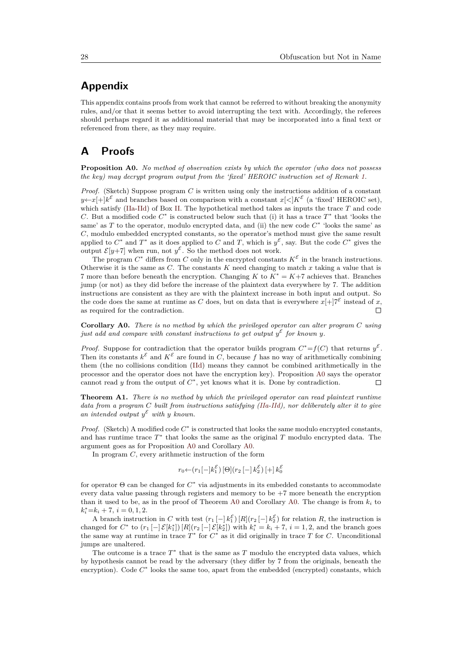# **Appendix**

This appendix contains proofs from work that cannot be referred to without breaking the anonymity rules, and/or that it seems better to avoid interrupting the text with. Accordingly, the referees should perhaps regard it as additional material that may be incorporated into a final text or referenced from there, as they may require.

# **A Proofs**

<span id="page-27-0"></span>**Proposition A0.** *No method of observation exists by which the operator (who does not possess the key) may decrypt program output from the 'fixed' HEROIC instruction set of Remark [1.](#page-10-5)*

*Proof.* (Sketch) Suppose program *C* is written using only the instructions addition of a constant  $y \leftarrow x + k^{\mathcal{E}}$  and branches based on comparison with a constant  $x \leq |K^{\mathcal{E}}$  (a 'fixed' HEROIC set), which satisfy [\(IIa](#page-10-1)[-IId\)](#page-10-4) of Box [II.](#page-7-0) The hypothetical method takes as inputs the trace *T* and code *C*. But a modified code  $C^*$  is constructed below such that (i) it has a trace  $T^*$  that 'looks the same' as *T* to the operator, modulo encrypted data, and (ii) the new code  $C^*$  'looks the same' as *C*, modulo embedded encrypted constants, so the operator's method must give the same result applied to  $C^*$  and  $T^*$  as it does applied to  $C$  and  $T$ , which is  $y^{\mathcal{E}}$ , say. But the code  $C^*$  gives the output  $\mathcal{E}[y+7]$  when run, not  $y^{\mathcal{E}}$ . So the method does not work.

The program  $C^*$  differs from  $C$  only in the encrypted constants  $K^{\mathcal{E}}$  in the branch instructions. Otherwise it is the same as  $C$ . The constants  $K$  need changing to match  $x$  taking a value that is 7 more than before beneath the encryption. Changing *K* to *K*<sup>∗</sup> = *K*+7 achieves that. Branches jump (or not) as they did before the increase of the plaintext data everywhere by 7. The addition instructions are consistent as they are with the plaintext increase in both input and output. So the code does the same at runtime as *C* does, but on data that is everywhere  $x[+]\tau^{\mathcal{E}}$  instead of *x*, as required for the contradiction.  $\Box$ 

<span id="page-27-1"></span>**Corollary A0.** *There is no method by which the privileged operator can alter program C using just add and compare with constant instructions to get output*  $y^{\mathcal{E}}$  *for known y.* 

*Proof.* Suppose for contradiction that the operator builds program  $C^* = f(C)$  that returns  $y^{\mathcal{E}}$ . Then its constants  $k^{\mathcal{E}}$  and  $K^{\mathcal{E}}$  are found in *C*, because *f* has no way of arithmetically combining them (the no collisions condition [\(IId\)](#page-10-4) means they cannot be combined arithmetically in the processor and the operator does not have the encryption key). Proposition [A0](#page-27-0) says the operator cannot read *y* from the output of  $C^*$ , yet knows what it is. Done by contradiction.  $\Box$ 

**Theorem A1.** *There is no method by which the privileged operator can read plaintext runtime data from a program C built from instructions satisfying [\(IIa](#page-10-1)[-IId\)](#page-10-4), nor deliberately alter it to give* an intended output  $y^{\varepsilon}$  with y known.

*Proof.* (Sketch) A modified code  $C^*$  is constructed that looks the same modulo encrypted constants, and has runtime trace  $T^*$  that looks the same as the original  $T$  modulo encrypted data. The argument goes as for Proposition [A0](#page-27-0) and Corollary [A0.](#page-27-1)

In program *C*, every arithmetic instruction of the form

$$
r_0 \leftarrow (r_1[-]k_1^{\mathcal{E}}) [\Theta] (r_2[-]k_2^{\mathcal{E}}) [\pm] k_0^{\mathcal{E}}
$$

for operator Θ can be changed for *C* ∗ via adjustments in its embedded constants to accommodate every data value passing through registers and memory to be  $+7$  more beneath the encryption than it used to be, as in the proof of Theorem [A0](#page-27-0) and Corollary [A0.](#page-27-1) The change is from  $k_i$  to  $k_i^* = k_i + 7, i = 0, 1, 2.$ 

A branch instruction in *C* with test  $(r_1 [-] k_1^{\mathcal{E}}) [R](r_2 [-] k_2^{\mathcal{E}})$  for relation *R*, the instruction is changed for  $C^*$  to  $(r_1 [-]\mathcal{E}[k_1^*]) [R](r_2 [-]\mathcal{E}[k_2^*])$  with  $k_i^* = k_i + 7$ ,  $i = 1, 2$ , and the branch goes the same way at runtime in trace  $T^*$  for  $C^*$  as it did originally in trace  $T$  for  $C$ . Unconditional jumps are unaltered.

The outcome is a trace  $T^*$  that is the same as  $T$  modulo the encrypted data values, which by hypothesis cannot be read by the adversary (they differ by 7 from the originals, beneath the encryption). Code  $C^*$  looks the same too, apart from the embedded (encrypted) constants, which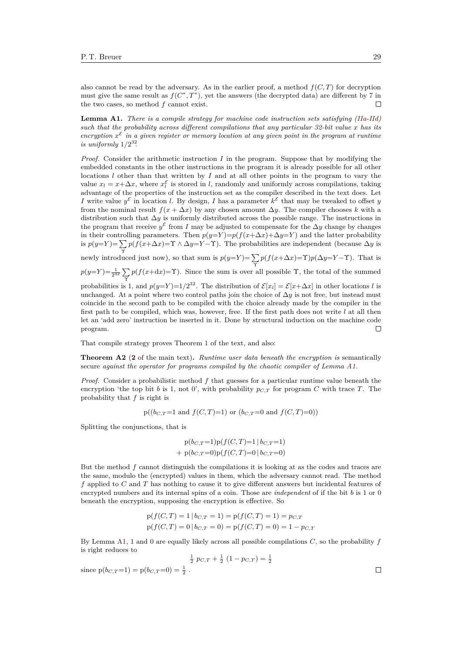also cannot be read by the adversary. As in the earlier proof, a method  $f(C, T)$  for decryption must give the same result as  $f(C^*, T^*)$ , yet the answers (the decrypted data) are different by 7 in the two cases, so method *f* cannot exist.  $\Box$ 

<span id="page-28-0"></span>**Lemma A1.** *There is a compile strategy for machine code instruction sets satisfying [\(IIa-](#page-10-1)[IId\)](#page-10-4) such that the probability across different compilations that any particular 32-bit value x has its* encryption  $x^{\mathcal{E}}$  in a given register or memory location at any given point in the program at runtime *is uniformly*  $1/2^{32}$ .

*Proof.* Consider the arithmetic instruction *I* in the program. Suppose that by modifying the embedded constants in the other instructions in the program it is already possible for all other locations *l* other than that written by *I* and at all other points in the program to vary the value  $x_l = x + \Delta x$ , where  $x_l^{\mathcal{E}}$  is stored in *l*, randomly and uniformly across compilations, taking advantage of the properties of the instruction set as the compiler described in the text does. Let *I* write value  $y^{\mathcal{E}}$  in location *l*. By design, *I* has a parameter  $k^{\mathcal{E}}$  that may be tweaked to offset *y* from the nominal result  $f(x + \Delta x)$  by any chosen amount  $\Delta y$ . The compiler chooses k with a distribution such that ∆*y* is uniformly distributed across the possible range. The instructions in the program that receive  $y^{\mathcal{E}}$  from *I* may be adjusted to compensate for the  $\Delta y$  change by changes in their controlling parameters. Then  $p(y=Y)=p(f(x+\Delta x)+\Delta y=Y)$  and the latter probability is  $p(y=Y) = \sum p(f(x+\Delta x) = \Upsilon \wedge \Delta y = Y - \Upsilon)$ . The probabilities are independent (because  $\Delta y$  is

newly introduced just now), so that sum is  $p(y=Y) = \sum_{\Upsilon}$  $p(f(x+\Delta x)=\Upsilon)p(\Delta y=Y-\Upsilon)$ . That is  $p(y=Y) = \frac{1}{2^{32}} \sum_{\Upsilon}$  $p(f(x+dx)=\Upsilon)$ . Since the sum is over all possible  $\Upsilon$ , the total of the summed

probabilities is 1, and  $p(y=Y)=1/2^{32}$ . The distribution of  $\mathcal{E}[x_l]=\mathcal{E}[x+\Delta x]$  in other locations *l* is unchanged. At a point where two control paths join the choice of  $\Delta y$  is not free, but instead must coincide in the second path to be compiled with the choice already made by the compiler in the first path to be compiled, which was, however, free. If the first path does not write *l* at all then let an 'add zero' instruction be inserted in it. Done by structural induction on the machine code program.  $\Box$ 

That compile strategy proves Theorem [1](#page-10-0) of the text, and also:

**Theorem A2** (**[2](#page-10-7)** of the main text)**.** *Runtime user data beneath the encryption is* semantically secure *against the operator for programs compiled by the chaotic compiler of Lemma [A1.](#page-28-0)*

*Proof.* Consider a probabilistic method *f* that guesses for a particular runtime value beneath the encryption 'the top bit *b* is 1, not 0', with probability  $p_{C,T}$  for program *C* with trace *T*. The probability that *f* is right is

$$
p((bc,T=1 \text{ and } f(C,T)=1) \text{ or } (bc,T=0 \text{ and } f(C,T)=0))
$$

Splitting the conjunctions, that is

$$
p(b_{C,T}=1)p(f(C,T)=1 | b_{C,T}=1)
$$
  
+  $p(b_{C,T}=0)p(f(C,T)=0 | b_{C,T}=0)$ 

But the method *f* cannot distinguish the compilations it is looking at as the codes and traces are the same, modulo the (encrypted) values in them, which the adversary cannot read. The method *f* applied to *C* and *T* has nothing to cause it to give different answers but incidental features of encrypted numbers and its internal spins of a coin. Those are *independent* of if the bit *b* is 1 or 0 beneath the encryption, supposing the encryption is effective. So

$$
p(f(C, T) = 1 | b_{C,T} = 1) = p(f(C, T) = 1) = p_{C,T}
$$
  

$$
p(f(C, T) = 0 | b_{C,T} = 0) = p(f(C, T) = 0) = 1 - p_{C,T}
$$

By Lemma [A1,](#page-28-0) 1 and 0 are equally likely across all possible compilations *C*, so the probability *f* is right reduces to

$$
\frac{1}{2} p_{C,T} + \frac{1}{2} (1 - p_{C,T}) = \frac{1}{2}
$$

since  $p(b_{C,T}=1) = p(b_{C,T}=0) = \frac{1}{2}$ .

 $\Box$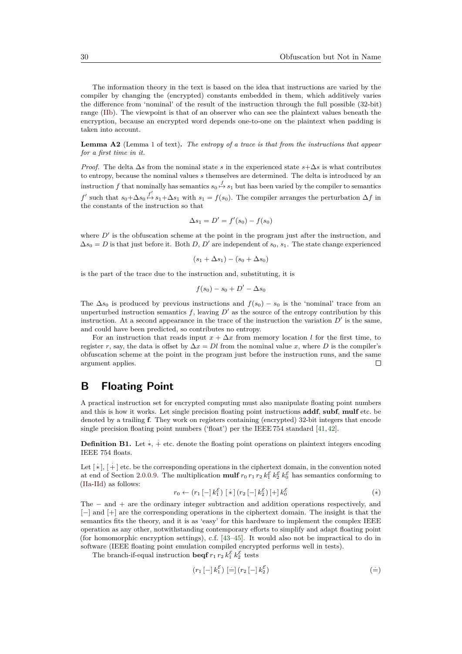The information theory in the text is based on the idea that instructions are varied by the compiler by changing the (encrypted) constants embedded in them, which additively varies the difference from 'nominal' of the result of the instruction through the full possible (32-bit) range [\(IIb\)](#page-10-2). The viewpoint is that of an observer who can see the plaintext values beneath the encryption, because an encrypted word depends one-to-one on the plaintext when padding is taken into account.

**Lemma A2** (Lemma [1](#page-21-1) of text)**.** *The entropy of a trace is that from the instructions that appear for a first time in it.*

*Proof.* The delta  $\Delta s$  from the nominal state *s* in the experienced state  $s + \Delta s$  is what contributes to entropy, because the nominal values *s* themselves are determined. The delta is introduced by an instruction *f* that nominally has semantics  $s_0 \stackrel{f}{\mapsto} s_1$  but has been varied by the compiler to semantics *f*' such that  $s_0 + \Delta s_0 \stackrel{f'}{\mapsto} s_1 + \Delta s_1$  with  $s_1 = f(s_0)$ . The compiler arranges the perturbation ∆*f* in the constants of the instruction so that

$$
\Delta s_1 = D' = f'(s_0) - f(s_0)
$$

where  $D'$  is the obfuscation scheme at the point in the program just after the instruction, and  $\Delta s_0 = D$  is that just before it. Both *D*, *D'* are independent of  $s_0$ ,  $s_1$ . The state change experienced

$$
(s_1+\Delta s_1)-(s_0+\Delta s_0)
$$

is the part of the trace due to the instruction and, substituting, it is

$$
f(s_0) - s_0 + D' - \Delta s_0
$$

The  $\Delta s_0$  is produced by previous instructions and  $f(s_0) - s_0$  is the 'nominal' trace from an unperturbed instruction semantics  $f$ , leaving  $D'$  as the source of the entropy contribution by this instruction. At a second appearance in the trace of the instruction the variation  $D'$  is the same, and could have been predicted, so contributes no entropy.

For an instruction that reads input  $x + \Delta x$  from memory location *l* for the first time, to register *r*, say, the data is offset by  $\Delta x = Dl$  from the nominal value *x*, where *D* is the compiler's obfuscation scheme at the point in the program just before the instruction runs, and the same argument applies.  $\Box$ 

# **B Floating Point**

A practical instruction set for encrypted computing must also manipulate floating point numbers and this is how it works. Let single precision floating point instructions **addf**, **subf**, **mulf** etc. be denoted by a trailing **f**. They work on registers containing (encrypted) 32-bit integers that encode single precision floating point numbers ('float') per the IEEE 754 standard [\[41,](#page-26-20) [42\]](#page-26-21).

**Definition B1.** Let  $\dot{*}$ ,  $\dot{+}$  etc. denote the floating point operations on plaintext integers encoding IEEE 754 floats.

Let  $\lceil * \rceil$ ,  $\lceil + \rceil$  etc. be the corresponding operations in the ciphertext domain, in the convention noted at end of Section [2.0.0.9.](#page-4-1) The multiplication **mulf**  $r_0 r_1 r_2 k_1^{\mathcal{E}} k_2^{\mathcal{E}} k_0^{\mathcal{E}}$  has semantics conforming to [\(IIa](#page-10-1)[-IId\)](#page-10-4) as follows:

$$
r_0 \leftarrow (r_1 \left[ - \right] k_1^{\mathcal{E}}) \left[ * \right] (r_2 \left[ - \right] k_2^{\mathcal{E}}) \left[ + \right] k_0^{\mathcal{E}} \tag{*}
$$

The − and + are the ordinary integer subtraction and addition operations respectively, and [−] and [+] are the corresponding operations in the ciphertext domain. The insight is that the semantics fits the theory, and it is as 'easy' for this hardware to implement the complex IEEE operation as any other, notwithstanding contemporary efforts to simplify and adapt floating point (for homomorphic encryption settings), c.f. [\[43](#page-26-22)[–45\]](#page-26-23). It would also not be impractical to do in software (IEEE floating point emulation compiled encrypted performs well in tests).

The branch-if-equal instruction **beqf**  $r_1 r_2 k_1^{\mathcal{E}} k_2^{\mathcal{E}}$  tests

<span id="page-29-0"></span>
$$
(r_1 [-] k_1^{\mathcal{E}}) [\equiv] (r_2 [-] k_2^{\mathcal{E}})
$$